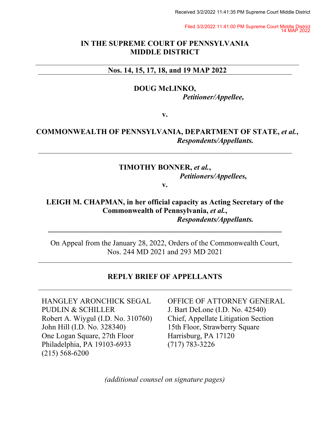Received 3/2/2022 11:41:35 PM Supreme Court Middle District

Filed 3/2/2022 11:41:00 PM Supreme Court Middle District 14 MAP 2022

### **IN THE SUPREME COURT OF PENNSYLVANIA MIDDLE DISTRICT**

### **Nos. 14, 15, 17, 18, and 19 MAP 2022**

**DOUG McLINKO,** *Petitioner/Appellee,*

**v.**

# **COMMONWEALTH OF PENNSYLVANIA, DEPARTMENT OF STATE,** *et al.***,** *Respondents/Appellants.*

# **TIMOTHY BONNER,** *et al.***,**  *Petitioners/Appellees,*

**v.**

## **LEIGH M. CHAPMAN, in her official capacity as Acting Secretary of the Commonwealth of Pennsylvania,** *et al.***,** *Respondents/Appellants.*

On Appeal from the January 28, 2022, Orders of the Commonwealth Court, Nos. 244 MD 2021 and 293 MD 2021

**\_\_\_\_\_\_\_\_\_\_\_\_\_\_\_\_\_\_\_\_\_\_\_\_\_\_\_\_\_\_\_\_\_\_\_\_\_\_\_\_\_\_\_\_\_\_\_\_\_\_\_\_\_\_\_\_\_\_\_\_\_\_**

# **REPLY BRIEF OF APPELLANTS**

HANGLEY ARONCHICK SEGAL PUDLIN & SCHILLER Robert A. Wiygul (I.D. No. 310760) John Hill (I.D. No. 328340) One Logan Square, 27th Floor Philadelphia, PA 19103-6933 (215) 568-6200

OFFICE OF ATTORNEY GENERAL J. Bart DeLone (I.D. No. 42540) Chief, Appellate Litigation Section 15th Floor, Strawberry Square Harrisburg, PA 17120 (717) 783-3226

*(additional counsel on signature pages)*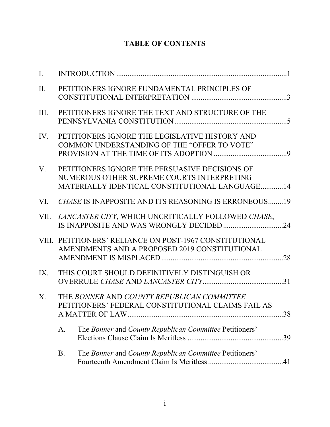# **TABLE OF CONTENTS**

| $\mathbf{I}$ . |                                                                                                                                                |    |
|----------------|------------------------------------------------------------------------------------------------------------------------------------------------|----|
| II.            | PETITIONERS IGNORE FUNDAMENTAL PRINCIPLES OF                                                                                                   |    |
| III.           | PETITIONERS IGNORE THE TEXT AND STRUCTURE OF THE                                                                                               |    |
| IV.            | PETITIONERS IGNORE THE LEGISLATIVE HISTORY AND<br>COMMON UNDERSTANDING OF THE "OFFER TO VOTE"                                                  |    |
| $V_{\cdot}$    | PETITIONERS IGNORE THE PERSUASIVE DECISIONS OF<br>NUMEROUS OTHER SUPREME COURTS INTERPRETING<br>MATERIALLY IDENTICAL CONSTITUTIONAL LANGUAGE14 |    |
|                | VI. CHASE IS INAPPOSITE AND ITS REASONING IS ERRONEOUS19                                                                                       |    |
|                | VII. LANCASTER CITY, WHICH UNCRITICALLY FOLLOWED CHASE,                                                                                        |    |
|                | VIII. PETITIONERS' RELIANCE ON POST-1967 CONSTITUTIONAL<br>AMENDMENTS AND A PROPOSED 2019 CONSTITUTIONAL                                       |    |
| IX.            | THIS COURT SHOULD DEFINITIVELY DISTINGUISH OR                                                                                                  |    |
| X.             | THE BONNER AND COUNTY REPUBLICAN COMMITTEE<br>PETITIONERS' FEDERAL CONSTITUTIONAL CLAIMS FAIL AS                                               | 38 |
|                | The Bonner and County Republican Committee Petitioners'<br>A.                                                                                  |    |
|                | <b>B.</b><br>The Bonner and County Republican Committee Petitioners'                                                                           |    |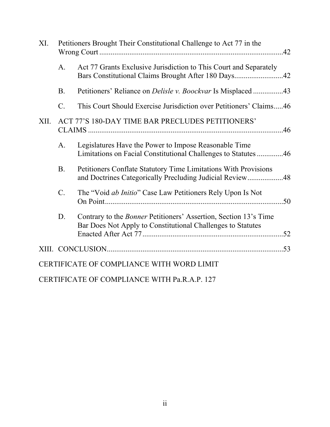| XI.  |           | Petitioners Brought Their Constitutional Challenge to Act 77 in the                                                                    |  |
|------|-----------|----------------------------------------------------------------------------------------------------------------------------------------|--|
|      | A.        | Act 77 Grants Exclusive Jurisdiction to This Court and Separately<br>Bars Constitutional Claims Brought After 180 Days42               |  |
|      | <b>B.</b> | Petitioners' Reliance on <i>Delisle v. Boockvar</i> Is Misplaced 43                                                                    |  |
|      | $C$ .     | This Court Should Exercise Jurisdiction over Petitioners' Claims46                                                                     |  |
| XII. |           | ACT 77'S 180-DAY TIME BAR PRECLUDES PETITIONERS'                                                                                       |  |
|      | A.        | Legislatures Have the Power to Impose Reasonable Time<br>Limitations on Facial Constitutional Challenges to Statutes46                 |  |
|      | <b>B.</b> | Petitioners Conflate Statutory Time Limitations With Provisions<br>and Doctrines Categorically Precluding Judicial Review48            |  |
|      | $C$ .     | The "Void <i>ab Initio</i> " Case Law Petitioners Rely Upon Is Not                                                                     |  |
|      | D.        | Contrary to the <i>Bonner</i> Petitioners' Assertion, Section 13's Time<br>Bar Does Not Apply to Constitutional Challenges to Statutes |  |
|      |           |                                                                                                                                        |  |
|      |           | CERTIFICATE OF COMPLIANCE WITH WORD LIMIT                                                                                              |  |

CERTIFICATE OF COMPLIANCE WITH Pa.R.A.P. 127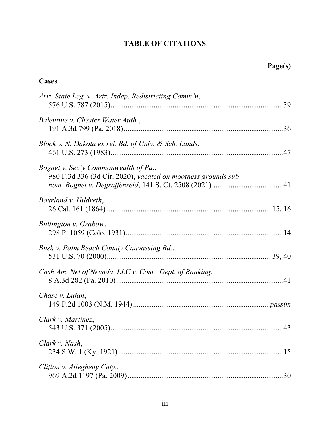# **TABLE OF CITATIONS**

# **Cases**

| Ariz. State Leg. v. Ariz. Indep. Redistricting Comm'n,                                               |
|------------------------------------------------------------------------------------------------------|
| Balentine v. Chester Water Auth.,                                                                    |
| Block v. N. Dakota ex rel. Bd. of Univ. & Sch. Lands,                                                |
| Bognet v. Sec'y Commonwealth of Pa.,<br>980 F.3d 336 (3d Cir. 2020), vacated on mootness grounds sub |
| Bourland v. Hildreth,                                                                                |
| Bullington v. Grabow,                                                                                |
| Bush v. Palm Beach County Canvassing Bd.,                                                            |
| Cash Am. Net of Nevada, LLC v. Com., Dept. of Banking,                                               |
| Chase v. Lujan,                                                                                      |
| Clark v. Martinez,                                                                                   |
| Clark v. Nash,                                                                                       |
| Clifton v. Allegheny Cnty.,                                                                          |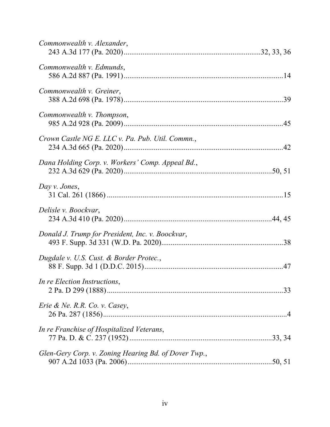| Commonwealth v. Alexander,                           |
|------------------------------------------------------|
| Commonwealth v. Edmunds,                             |
| Commonwealth v. Greiner,                             |
| Commonwealth v. Thompson,                            |
| Crown Castle NG E. LLC v. Pa. Pub. Util. Commn.,     |
| Dana Holding Corp. v. Workers' Comp. Appeal Bd.,     |
| Day v. Jones,                                        |
| Delisle v. Boockvar,                                 |
| Donald J. Trump for President, Inc. v. Boockvar,     |
| Dugdale v. U.S. Cust. & Border Protec.,              |
| In re Election Instructions,                         |
| <i>Erie &amp; Ne. R.R. Co. v. Casey,</i>             |
| In re Franchise of Hospitalized Veterans,            |
| Glen-Gery Corp. v. Zoning Hearing Bd. of Dover Twp., |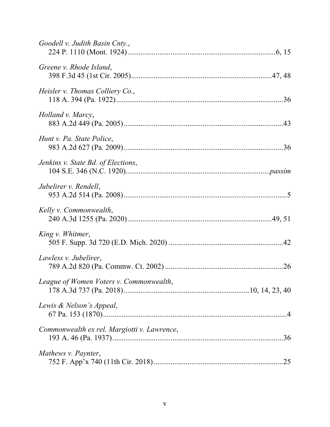| Goodell v. Judith Basin Cnty.,              |
|---------------------------------------------|
| Greene v. Rhode Island,                     |
| Heisler v. Thomas Colliery Co.,             |
| Holland v. Marcy,                           |
| Hunt v. Pa. State Police,                   |
| Jenkins v. State Bd. of Elections,          |
| Jubelirer v. Rendell,                       |
| Kelly v. Commonwealth,                      |
| King v. Whitmer,                            |
| Lawless v. Jubelirer,                       |
| League of Women Voters v. Commonwealth,     |
| Lewis & Nelson's Appeal,                    |
| Commonwealth ex rel. Margiotti v. Lawrence, |
| Mathews v. Paynter,                         |
|                                             |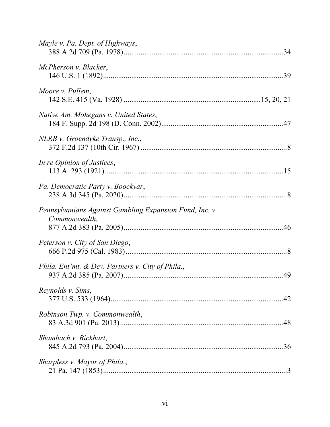| Mayle v. Pa. Dept. of Highways,                                          |  |
|--------------------------------------------------------------------------|--|
| McPherson v. Blacker,                                                    |  |
| Moore v. Pullem,                                                         |  |
| Native Am. Mohegans v. United States,                                    |  |
| NLRB v. Groendyke Transp., Inc.,                                         |  |
| In re Opinion of Justices,                                               |  |
| Pa. Democratic Party v. Boockvar,                                        |  |
| Pennsylvanians Against Gambling Expansion Fund, Inc. v.<br>Commonwealth, |  |
| Peterson v. City of San Diego,                                           |  |
| Phila. Ent'mt. & Dev. Partners v. City of Phila.,                        |  |
| Reynolds v. Sims,                                                        |  |
| Robinson Twp. v. Commonwealth,                                           |  |
| Shambach v. Bickhart,                                                    |  |
| Sharpless v. Mayor of Phila.,                                            |  |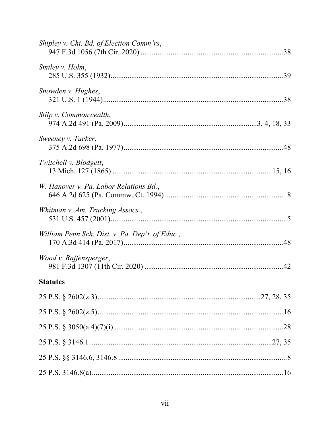| Shipley v. Chi. Bd. of Election Comm'rs,        |
|-------------------------------------------------|
| Smiley v. Holm,                                 |
| Snowden v. Hughes,                              |
| Stilp v. Commonwealth,                          |
| Sweeney v. Tucker,                              |
| Twitchell v. Blodgett,                          |
| W. Hanover v. Pa. Labor Relations Bd.,          |
| Whitman v. Am. Trucking Assocs.,                |
| William Penn Sch. Dist. v. Pa. Dep't. of Educ., |
| Wood v. Raffensperger,                          |
| <b>Statutes</b>                                 |
|                                                 |
|                                                 |
|                                                 |
|                                                 |
|                                                 |
|                                                 |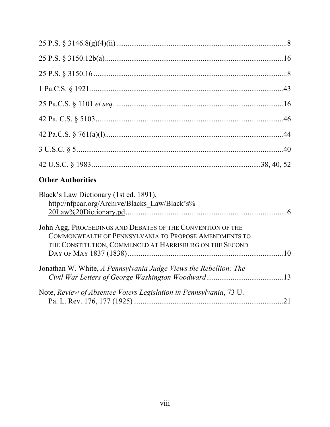| <b>Other Authorities</b>                                                                                                                                                       |  |
|--------------------------------------------------------------------------------------------------------------------------------------------------------------------------------|--|
| Black's Law Dictionary (1st ed. 1891),<br>http://nfpcar.org/Archive/Blacks_Law/Black's%                                                                                        |  |
| John Agg, PROCEEDINGS AND DEBATES OF THE CONVENTION OF THE<br>COMMONWEALTH OF PENNSYLVANIA TO PROPOSE AMENDMENTS TO<br>THE CONSTITUTION, COMMENCED AT HARRISBURG ON THE SECOND |  |
| Jonathan W. White, A Pennsylvania Judge Views the Rebellion: The                                                                                                               |  |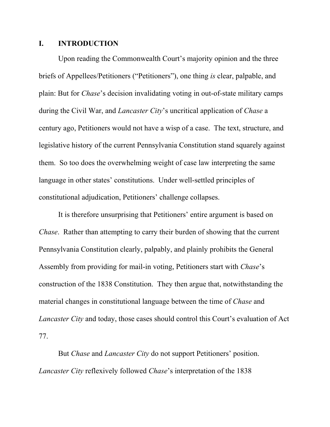#### **I. INTRODUCTION**

<span id="page-9-0"></span>Upon reading the Commonwealth Court's majority opinion and the three briefs of Appellees/Petitioners ("Petitioners"), one thing *is* clear, palpable, and plain: But for *Chase*'s decision invalidating voting in out-of-state military camps during the Civil War, and *Lancaster City*'s uncritical application of *Chase* a century ago, Petitioners would not have a wisp of a case. The text, structure, and legislative history of the current Pennsylvania Constitution stand squarely against them. So too does the overwhelming weight of case law interpreting the same language in other states' constitutions. Under well-settled principles of constitutional adjudication, Petitioners' challenge collapses.

It is therefore unsurprising that Petitioners' entire argument is based on *Chase*. Rather than attempting to carry their burden of showing that the current Pennsylvania Constitution clearly, palpably, and plainly prohibits the General Assembly from providing for mail-in voting, Petitioners start with *Chase*'s construction of the 1838 Constitution. They then argue that, notwithstanding the material changes in constitutional language between the time of *Chase* and *Lancaster City* and today, those cases should control this Court's evaluation of Act 77.

But *Chase* and *Lancaster City* do not support Petitioners' position. *Lancaster City* reflexively followed *Chase*'s interpretation of the 1838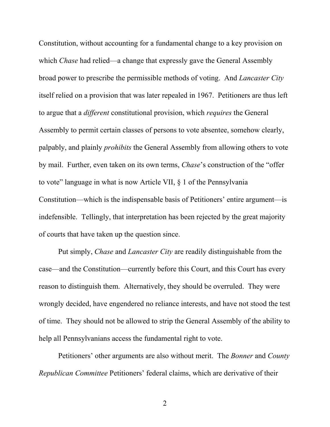Constitution, without accounting for a fundamental change to a key provision on which *Chase* had relied—a change that expressly gave the General Assembly broad power to prescribe the permissible methods of voting. And *Lancaster City* itself relied on a provision that was later repealed in 1967. Petitioners are thus left to argue that a *different* constitutional provision, which *requires* the General Assembly to permit certain classes of persons to vote absentee, somehow clearly, palpably, and plainly *prohibits* the General Assembly from allowing others to vote by mail. Further, even taken on its own terms, *Chase*'s construction of the "offer to vote" language in what is now Article VII, § 1 of the Pennsylvania Constitution—which is the indispensable basis of Petitioners' entire argument—is indefensible. Tellingly, that interpretation has been rejected by the great majority of courts that have taken up the question since.

Put simply, *Chase* and *Lancaster City* are readily distinguishable from the case—and the Constitution—currently before this Court, and this Court has every reason to distinguish them. Alternatively, they should be overruled. They were wrongly decided, have engendered no reliance interests, and have not stood the test of time. They should not be allowed to strip the General Assembly of the ability to help all Pennsylvanians access the fundamental right to vote.

Petitioners' other arguments are also without merit. The *Bonner* and *County Republican Committee* Petitioners' federal claims, which are derivative of their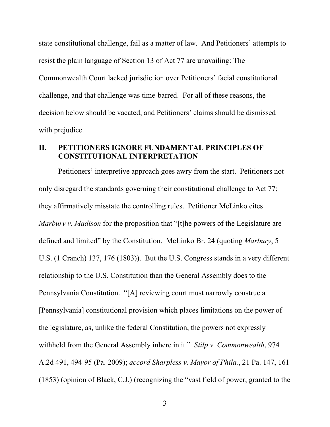state constitutional challenge, fail as a matter of law. And Petitioners' attempts to resist the plain language of Section 13 of Act 77 are unavailing: The Commonwealth Court lacked jurisdiction over Petitioners' facial constitutional challenge, and that challenge was time-barred. For all of these reasons, the decision below should be vacated, and Petitioners' claims should be dismissed with prejudice.

#### **II. PETITIONERS IGNORE FUNDAMENTAL PRINCIPLES OF CONSTITUTIONAL INTERPRETATION**

<span id="page-11-1"></span><span id="page-11-0"></span>Petitioners' interpretive approach goes awry from the start. Petitioners not only disregard the standards governing their constitutional challenge to Act 77; they affirmatively misstate the controlling rules. Petitioner McLinko cites *Marbury v. Madison* for the proposition that "[t]he powers of the Legislature are defined and limited" by the Constitution. McLinko Br. 24 (quoting *Marbury*, 5 U.S. (1 Cranch) 137, 176 (1803)). But the U.S. Congress stands in a very different relationship to the U.S. Constitution than the General Assembly does to the Pennsylvania Constitution. "[A] reviewing court must narrowly construe a [Pennsylvania] constitutional provision which places limitations on the power of the legislature, as, unlike the federal Constitution, the powers not expressly withheld from the General Assembly inhere in it." *Stilp v. Commonwealth*, 974 A.2d 491, 494-95 (Pa. 2009); *accord Sharpless v. Mayor of Phila.*, 21 Pa. 147, 161 (1853) (opinion of Black, C.J.) (recognizing the "vast field of power, granted to the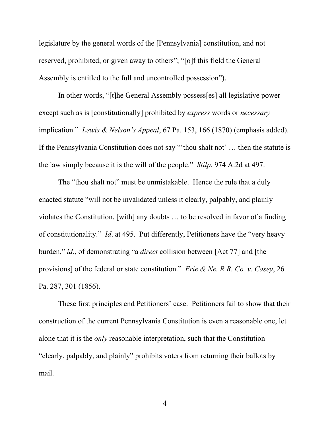legislature by the general words of the [Pennsylvania] constitution, and not reserved, prohibited, or given away to others"; "[o]f this field the General Assembly is entitled to the full and uncontrolled possession").

<span id="page-12-1"></span>In other words, "[t]he General Assembly possess[es] all legislative power except such as is [constitutionally] prohibited by *express* words or *necessary* implication." *Lewis & Nelson's Appeal*, 67 Pa. 153, 166 (1870) (emphasis added). If the Pennsylvania Constitution does not say "'thou shalt not' … then the statute is the law simply because it is the will of the people." *Stilp*, 974 A.2d at 497.

<span id="page-12-2"></span>The "thou shalt not" must be unmistakable. Hence the rule that a duly enacted statute "will not be invalidated unless it clearly, palpably, and plainly violates the Constitution, [with] any doubts … to be resolved in favor of a finding of constitutionality." *Id*. at 495. Put differently, Petitioners have the "very heavy burden," *id.*, of demonstrating "a *direct* collision between [Act 77] and [the provisions] of the federal or state constitution." *Erie & Ne. R.R. Co. v. Casey*, 26 Pa. 287, 301 (1856).

<span id="page-12-0"></span>These first principles end Petitioners' case. Petitioners fail to show that their construction of the current Pennsylvania Constitution is even a reasonable one, let alone that it is the *only* reasonable interpretation, such that the Constitution "clearly, palpably, and plainly" prohibits voters from returning their ballots by mail.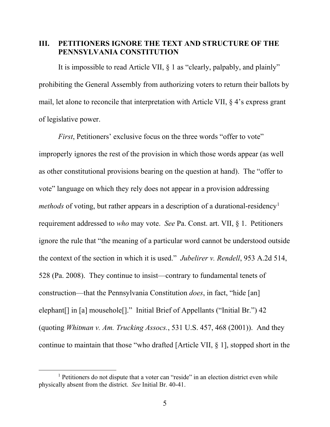### **III. PETITIONERS IGNORE THE TEXT AND STRUCTURE OF THE PENNSYLVANIA CONSTITUTION**

It is impossible to read Article VII, § 1 as "clearly, palpably, and plainly" prohibiting the General Assembly from authorizing voters to return their ballots by mail, let alone to reconcile that interpretation with Article VII, § 4's express grant of legislative power.

<span id="page-13-0"></span>*First*, Petitioners' exclusive focus on the three words "offer to vote" improperly ignores the rest of the provision in which those words appear (as well as other constitutional provisions bearing on the question at hand). The "offer to vote" language on which they rely does not appear in a provision addressing *methods* of voting, but rather appears in a description of a durational-residency<sup>[1](#page-13-2)</sup> requirement addressed to *who* may vote. *See* Pa. Const. art. VII, § 1. Petitioners ignore the rule that "the meaning of a particular word cannot be understood outside the context of the section in which it is used." *Jubelirer v. Rendell*, 953 A.2d 514, 528 (Pa. 2008). They continue to insist—contrary to fundamental tenets of construction—that the Pennsylvania Constitution *does*, in fact, "hide [an] elephant[] in [a] mousehole[]." Initial Brief of Appellants ("Initial Br.") 42 (quoting *Whitman v. Am. Trucking Assocs.*, 531 U.S. 457, 468 (2001)). And they continue to maintain that those "who drafted [Article VII, § 1], stopped short in the

<span id="page-13-2"></span><span id="page-13-1"></span><sup>&</sup>lt;sup>1</sup> Petitioners do not dispute that a voter can "reside" in an election district even while physically absent from the district. *See* Initial Br. 40-41.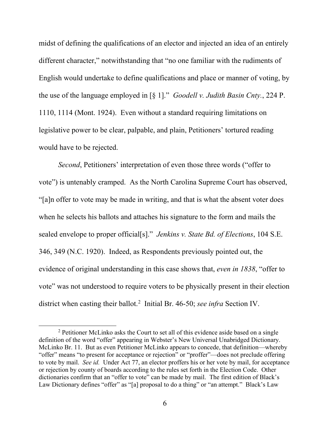<span id="page-14-0"></span>midst of defining the qualifications of an elector and injected an idea of an entirely different character," notwithstanding that "no one familiar with the rudiments of English would undertake to define qualifications and place or manner of voting, by the use of the language employed in [§ 1]." *Goodell v. Judith Basin Cnty.*, 224 P. 1110, 1114 (Mont. 1924). Even without a standard requiring limitations on legislative power to be clear, palpable, and plain, Petitioners' tortured reading would have to be rejected.

<span id="page-14-1"></span>*Second*, Petitioners' interpretation of even those three words ("offer to vote") is untenably cramped. As the North Carolina Supreme Court has observed, "[a]n offer to vote may be made in writing, and that is what the absent voter does when he selects his ballots and attaches his signature to the form and mails the sealed envelope to proper official[s]." *Jenkins v. State Bd. of Elections*, 104 S.E. 346, 349 (N.C. 1920). Indeed, as Respondents previously pointed out, the evidence of original understanding in this case shows that, *even in 1838*, "offer to vote" was not understood to require voters to be physically present in their election district when casting their ballot.[2](#page-14-3) Initial Br. 46-50; *see infra* Section IV.

<span id="page-14-3"></span><span id="page-14-2"></span><sup>&</sup>lt;sup>2</sup> Petitioner McLinko asks the Court to set all of this evidence aside based on a single definition of the word "offer" appearing in Webster's New Universal Unabridged Dictionary. McLinko Br. 11. But as even Petitioner McLinko appears to concede, that definition—whereby "offer" means "to present for acceptance or rejection" or "proffer"—does not preclude offering to vote by mail. *See id.* Under Act 77, an elector proffers his or her vote by mail, for acceptance or rejection by county of boards according to the rules set forth in the Election Code. Other dictionaries confirm that an "offer to vote" can be made by mail. The first edition of Black's Law Dictionary defines "offer" as "[a] proposal to do a thing" or "an attempt." Black's Law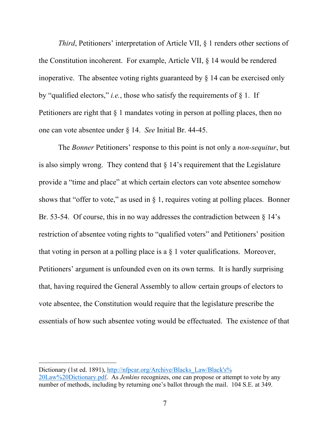*Third*, Petitioners' interpretation of Article VII, § 1 renders other sections of the Constitution incoherent. For example, Article VII, § 14 would be rendered inoperative. The absentee voting rights guaranteed by § 14 can be exercised only by "qualified electors," *i.e.*, those who satisfy the requirements of  $\S$  1. If Petitioners are right that § 1 mandates voting in person at polling places, then no one can vote absentee under § 14. *See* Initial Br. 44-45.

The *Bonner* Petitioners' response to this point is not only a *non*-*sequitur*, but is also simply wrong. They contend that  $\S 14$ 's requirement that the Legislature provide a "time and place" at which certain electors can vote absentee somehow shows that "offer to vote," as used in  $\S$  1, requires voting at polling places. Bonner Br. 53-54. Of course, this in no way addresses the contradiction between § 14's restriction of absentee voting rights to "qualified voters" and Petitioners' position that voting in person at a polling place is a  $\S$  1 voter qualifications. Moreover, Petitioners' argument is unfounded even on its own terms. It is hardly surprising that, having required the General Assembly to allow certain groups of electors to vote absentee, the Constitution would require that the legislature prescribe the essentials of how such absentee voting would be effectuated. The existence of that

 $\overline{a}$ 

Dictionary (1st ed. 1891), [http://nfpcar.org/Archive/Blacks\\_Law/Black's%](http://nfpcar.org/Archive/Blacks_Law/Black) [20Law%20Dictionary.pdf.](http://nfpcar.org/Archive/Blacks_Law/Black) As *Jenkins* recognizes, one can propose or attempt to vote by any number of methods, including by returning one's ballot through the mail. 104 S.E. at 349.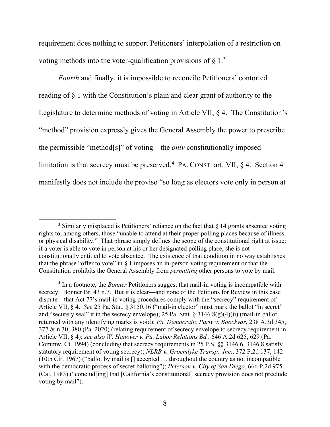requirement does nothing to support Petitioners' interpolation of a restriction on voting methods into the voter-qualification provisions of  $\S 1$ .<sup>[3](#page-16-7)</sup>

*Fourth* and finally, it is impossible to reconcile Petitioners' contorted reading of § 1 with the Constitution's plain and clear grant of authority to the Legislature to determine methods of voting in Article VII, § 4. The Constitution's "method" provision expressly gives the General Assembly the power to prescribe the permissible "method[s]" of voting—the *only* constitutionally imposed limitation is that secrecy must be preserved.<sup>[4](#page-16-8)</sup> PA. CONST. art. VII,  $\S$  4. Section 4 manifestly does not include the proviso "so long as electors vote only in person at

<span id="page-16-7"></span><sup>&</sup>lt;sup>3</sup> Similarly misplaced is Petitioners' reliance on the fact that  $\frac{1}{9}$  14 grants absentee voting rights to, among others, those "unable to attend at their proper polling places because of illness or physical disability." That phrase simply defines the scope of the constitutional right at issue: if a voter is able to vote in person at his or her designated polling place, she is not constitutionally entitled to vote absentee. The existence of that condition in no way establishes that the phrase "offer to vote" in  $\S$  1 imposes an in-person voting requirement or that the Constitution prohibits the General Assembly from *permitting* other persons to vote by mail.

<span id="page-16-8"></span><span id="page-16-6"></span><span id="page-16-5"></span><span id="page-16-4"></span><span id="page-16-3"></span><span id="page-16-2"></span><span id="page-16-1"></span><span id="page-16-0"></span><sup>4</sup> In a footnote, the *Bonner* Petitioners suggest that mail-in voting is incompatible with secrecy. Bonner Br. 43 n.7. But it is clear—and none of the Petitions for Review in this case dispute—that Act 77's mail-in voting procedures comply with the "secrecy" requirement of Article VII, § 4. *See* 25 Pa. Stat. § 3150.16 ("mail-in elector" must mark the ballot "in secret" and "securely seal" it in the secrecy envelope); 25 Pa. Stat.  $\S 3146.8(g)(4)(ii)$  (mail-in ballot returned with any identifying marks is void); *Pa. Democratic Party v. Boockvar*, 238 A.3d 345, 377 & n.30, 380 (Pa. 2020) (relating requirement of secrecy envelope to secrecy requirement in Article VII, § 4); *see also W. Hanover v. Pa. Labor Relations Bd.*, 646 A.2d 625, 629 (Pa. Commw. Ct. 1994) (concluding that secrecy requirements in 25 P.S. §§ 3146.6, 3146.8 satisfy statutory requirement of voting secrecy); *NLRB v. Groendyke Transp., Inc.*, 372 F.2d 137, 142 (10th Cir. 1967) ("ballot by mail is [] accepted … throughout the country as not incompatible with the democratic process of secret balloting"); *Peterson v. City of San Diego*, 666 P.2d 975 (Cal. 1983) ("conclud[ing] that [California's constitutional] secrecy provision does not preclude voting by mail").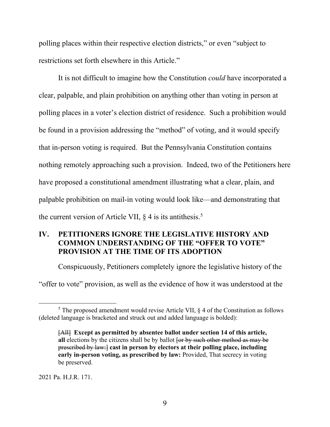polling places within their respective election districts," or even "subject to restrictions set forth elsewhere in this Article."

It is not difficult to imagine how the Constitution *could* have incorporated a clear, palpable, and plain prohibition on anything other than voting in person at polling places in a voter's election district of residence. Such a prohibition would be found in a provision addressing the "method" of voting, and it would specify that in-person voting is required. But the Pennsylvania Constitution contains nothing remotely approaching such a provision. Indeed, two of the Petitioners here have proposed a constitutional amendment illustrating what a clear, plain, and palpable prohibition on mail-in voting would look like—and demonstrating that the current version of Article VII,  $\S$  4 is its antithesis.<sup>[5](#page-17-0)</sup>

# **IV. PETITIONERS IGNORE THE LEGISLATIVE HISTORY AND COMMON UNDERSTANDING OF THE "OFFER TO VOTE" PROVISION AT THE TIME OF ITS ADOPTION**

Conspicuously, Petitioners completely ignore the legislative history of the

"offer to vote" provision, as well as the evidence of how it was understood at the

2021 Pa. H.J.R. 171.

<span id="page-17-0"></span> $<sup>5</sup>$  The proposed amendment would revise Article VII,  $\&$  4 of the Constitution as follows</sup> (deleted language is bracketed and struck out and added language is bolded):

<sup>[</sup>All] **Except as permitted by absentee ballot under section 14 of this article,**  all elections by the citizens shall be by ballot for by such other method as may be prescribed by law:] **cast in person by electors at their polling place, including early in-person voting, as prescribed by law:** Provided, That secrecy in voting be preserved.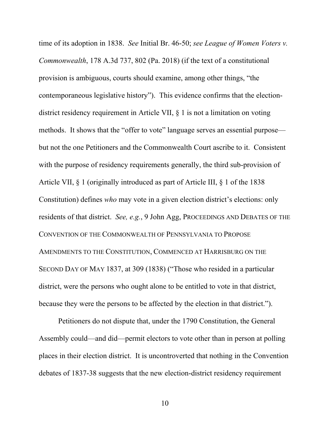<span id="page-18-0"></span>time of its adoption in 1838. *See* Initial Br. 46-50; *see League of Women Voters v. Commonwealth*, 178 A.3d 737, 802 (Pa. 2018) (if the text of a constitutional provision is ambiguous, courts should examine, among other things, "the contemporaneous legislative history"). This evidence confirms that the electiondistrict residency requirement in Article VII, § 1 is not a limitation on voting methods. It shows that the "offer to vote" language serves an essential purpose but not the one Petitioners and the Commonwealth Court ascribe to it. Consistent with the purpose of residency requirements generally, the third sub-provision of Article VII, § 1 (originally introduced as part of Article III, § 1 of the 1838 Constitution) defines *who* may vote in a given election district's elections: only residents of that district. *See, e.g.*, 9 John Agg, PROCEEDINGS AND DEBATES OF THE CONVENTION OF THE COMMONWEALTH OF PENNSYLVANIA TO PROPOSE AMENDMENTS TO THE CONSTITUTION, COMMENCED AT HARRISBURG ON THE SECOND DAY OF MAY 1837, at 309 (1838) ("Those who resided in a particular district, were the persons who ought alone to be entitled to vote in that district, because they were the persons to be affected by the election in that district.").

<span id="page-18-1"></span>Petitioners do not dispute that, under the 1790 Constitution, the General Assembly could—and did—permit electors to vote other than in person at polling places in their election district. It is uncontroverted that nothing in the Convention debates of 1837-38 suggests that the new election-district residency requirement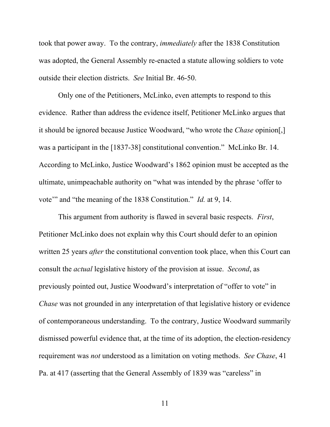took that power away. To the contrary, *immediately* after the 1838 Constitution was adopted, the General Assembly re-enacted a statute allowing soldiers to vote outside their election districts. *See* Initial Br. 46-50.

Only one of the Petitioners, McLinko, even attempts to respond to this evidence. Rather than address the evidence itself, Petitioner McLinko argues that it should be ignored because Justice Woodward, "who wrote the *Chase* opinion[,] was a participant in the [1837-38] constitutional convention." McLinko Br. 14. According to McLinko, Justice Woodward's 1862 opinion must be accepted as the ultimate, unimpeachable authority on "what was intended by the phrase 'offer to vote'" and "the meaning of the 1838 Constitution." *Id.* at 9, 14.

This argument from authority is flawed in several basic respects. *First*, Petitioner McLinko does not explain why this Court should defer to an opinion written 25 years *after* the constitutional convention took place, when this Court can consult the *actual* legislative history of the provision at issue. *Second*, as previously pointed out, Justice Woodward's interpretation of "offer to vote" in *Chase* was not grounded in any interpretation of that legislative history or evidence of contemporaneous understanding. To the contrary, Justice Woodward summarily dismissed powerful evidence that, at the time of its adoption, the election-residency requirement was *not* understood as a limitation on voting methods. *See Chase*, 41 Pa. at 417 (asserting that the General Assembly of 1839 was "careless" in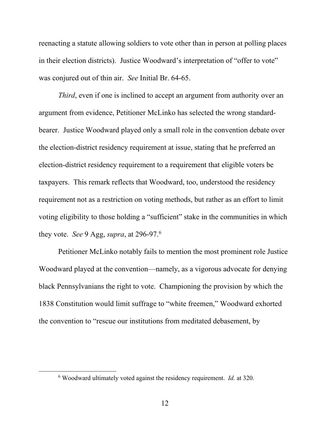reenacting a statute allowing soldiers to vote other than in person at polling places in their election districts). Justice Woodward's interpretation of "offer to vote" was conjured out of thin air. *See* Initial Br. 64-65.

*Third*, even if one is inclined to accept an argument from authority over an argument from evidence, Petitioner McLinko has selected the wrong standardbearer. Justice Woodward played only a small role in the convention debate over the election-district residency requirement at issue, stating that he preferred an election-district residency requirement to a requirement that eligible voters be taxpayers. This remark reflects that Woodward, too, understood the residency requirement not as a restriction on voting methods, but rather as an effort to limit voting eligibility to those holding a "sufficient" stake in the communities in which they vote. *See* 9 Agg, *supra*, at 296-97.[6](#page-20-0)

Petitioner McLinko notably fails to mention the most prominent role Justice Woodward played at the convention—namely, as a vigorous advocate for denying black Pennsylvanians the right to vote. Championing the provision by which the 1838 Constitution would limit suffrage to "white freemen," Woodward exhorted the convention to "rescue our institutions from meditated debasement, by

<span id="page-20-0"></span> <sup>6</sup> Woodward ultimately voted against the residency requirement. *Id.* at 320.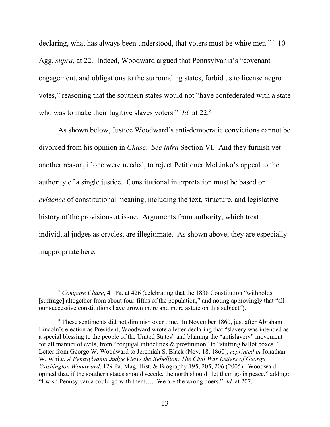declaring, what has always been understood, that voters must be white men."<sup>[7](#page-21-1)</sup> 10 Agg, *supra*, at 22. Indeed, Woodward argued that Pennsylvania's "covenant engagement, and obligations to the surrounding states, forbid us to license negro votes," reasoning that the southern states would not "have confederated with a state who was to make their fugitive slaves voters." *Id.* at 22.<sup>[8](#page-21-2)</sup>

As shown below, Justice Woodward's anti-democratic convictions cannot be divorced from his opinion in *Chase*. *See infra* Section VI. And they furnish yet another reason, if one were needed, to reject Petitioner McLinko's appeal to the authority of a single justice. Constitutional interpretation must be based on *evidence* of constitutional meaning, including the text, structure, and legislative history of the provisions at issue. Arguments from authority, which treat individual judges as oracles, are illegitimate. As shown above, they are especially inappropriate here.

<span id="page-21-1"></span> <sup>7</sup> *Compare Chase*, 41 Pa. at 426 (celebrating that the 1838 Constitution "withholds [suffrage] altogether from about four-fifths of the population," and noting approvingly that "all our successive constitutions have grown more and more astute on this subject").

<span id="page-21-2"></span><span id="page-21-0"></span><sup>8</sup> These sentiments did not diminish over time. In November 1860, just after Abraham Lincoln's election as President, Woodward wrote a letter declaring that "slavery was intended as a special blessing to the people of the United States" and blaming the "antislavery" movement for all manner of evils, from "conjugal infidelities & prostitution" to "stuffing ballot boxes." Letter from George W. Woodward to Jeremiah S. Black (Nov. 18, 1860), *reprinted in* Jonathan W. White, *A Pennsylvania Judge Views the Rebellion: The Civil War Letters of George Washington Woodward*, 129 Pa. Mag. Hist. & Biography 195, 205, 206 (2005). Woodward opined that, if the southern states should secede, the north should "let them go in peace," adding: "I wish Pennsylvania could go with them…. We are the wrong doers." *Id.* at 207.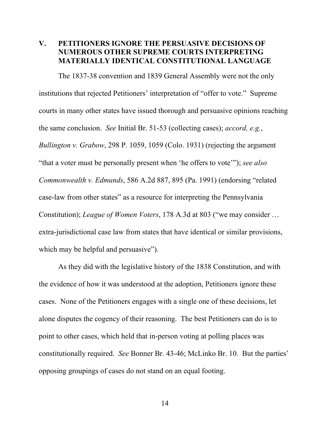# **V. PETITIONERS IGNORE THE PERSUASIVE DECISIONS OF NUMEROUS OTHER SUPREME COURTS INTERPRETING MATERIALLY IDENTICAL CONSTITUTIONAL LANGUAGE**

<span id="page-22-0"></span>The 1837-38 convention and 1839 General Assembly were not the only institutions that rejected Petitioners' interpretation of "offer to vote." Supreme courts in many other states have issued thorough and persuasive opinions reaching the same conclusion. *See* Initial Br. 51-53 (collecting cases); *accord, e.g.*, *Bullington v. Grabow*, 298 P. 1059, 1059 (Colo. 1931) (rejecting the argument "that a voter must be personally present when 'he offers to vote'"); *see also Commonwealth v. Edmunds*, 586 A.2d 887, 895 (Pa. 1991) (endorsing "related case-law from other states" as a resource for interpreting the Pennsylvania Constitution); *League of Women Voters*, 178 A.3d at 803 ("we may consider … extra-jurisdictional case law from states that have identical or similar provisions, which may be helpful and persuasive").

<span id="page-22-2"></span><span id="page-22-1"></span>As they did with the legislative history of the 1838 Constitution, and with the evidence of how it was understood at the adoption, Petitioners ignore these cases. None of the Petitioners engages with a single one of these decisions, let alone disputes the cogency of their reasoning. The best Petitioners can do is to point to other cases, which held that in-person voting at polling places was constitutionally required. *See* Bonner Br. 43-46; McLinko Br. 10. But the parties' opposing groupings of cases do not stand on an equal footing.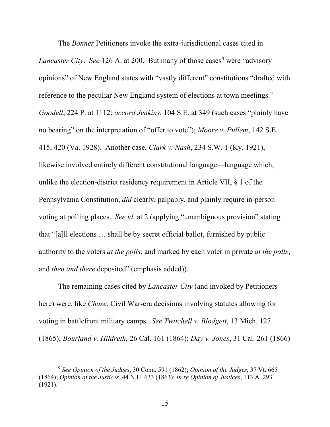<span id="page-23-4"></span><span id="page-23-3"></span><span id="page-23-1"></span>The *Bonner* Petitioners invoke the extra-jurisdictional cases cited in *Lancaster City. See* 126 A. at 200. But many of those cases<sup>[9](#page-23-7)</sup> were "advisory" opinions" of New England states with "vastly different" constitutions "drafted with reference to the peculiar New England system of elections at town meetings." *Goodell*, 224 P. at 1112; *accord Jenkins*, 104 S.E. at 349 (such cases "plainly have no bearing" on the interpretation of "offer to vote"); *Moore v. Pullem*, 142 S.E. 415, 420 (Va. 1928). Another case, *Clark v. Nash*, 234 S.W. 1 (Ky. 1921), likewise involved entirely different constitutional language—language which, unlike the election-district residency requirement in Article VII, § 1 of the Pennsylvania Constitution, *did* clearly, palpably, and plainly require in-person voting at polling places. *See id.* at 2 (applying "unambiguous provision" stating that "[a]ll elections … shall be by secret official ballot, furnished by public authority to the voters *at the polls*, and marked by each voter in private *at the polls*, and *then and there* deposited" (emphasis added)).

<span id="page-23-6"></span>The remaining cases cited by *Lancaster City* (and invoked by Petitioners here) were, like *Chase*, Civil War-era decisions involving statutes allowing for voting in battlefront military camps. *See Twitchell v. Blodgett*, 13 Mich. 127 (1865); *Bourland v. Hildreth*, 26 Cal. 161 (1864); *Day v. Jones*, 31 Cal. 261 (1866)

<span id="page-23-7"></span><span id="page-23-5"></span><span id="page-23-2"></span><span id="page-23-0"></span> <sup>9</sup> *See Opinion of the Judges*, 30 Conn. 591 (1862); *Opinion of the Judges*, 37 Vt. 665 (1864); *Opinion of the Justices*, 44 N.H. 633 (1863); *In re Opinion of Justices*, 113 A. 293 (1921).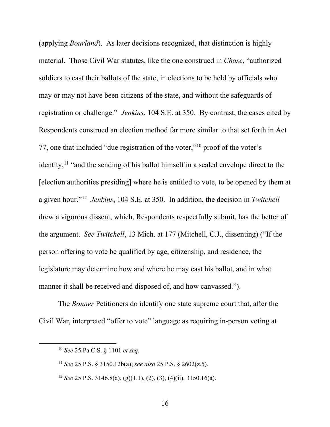<span id="page-24-0"></span>(applying *Bourland*). As later decisions recognized, that distinction is highly material. Those Civil War statutes, like the one construed in *Chase*, "authorized soldiers to cast their ballots of the state, in elections to be held by officials who may or may not have been citizens of the state, and without the safeguards of registration or challenge." *Jenkins*, 104 S.E. at 350. By contrast, the cases cited by Respondents construed an election method far more similar to that set forth in Act 77, one that included "due registration of the voter,"[10](#page-24-6) proof of the voter's identity,<sup>[11](#page-24-7)</sup> "and the sending of his ballot himself in a sealed envelope direct to the [election authorities presiding] where he is entitled to vote, to be opened by them at a given hour."[12](#page-24-8) *Jenkins*, 104 S.E. at 350. In addition, the decision in *Twitchell*  drew a vigorous dissent, which, Respondents respectfully submit, has the better of the argument. *See Twitchell*, 13 Mich. at 177 (Mitchell, C.J., dissenting) ("If the person offering to vote be qualified by age, citizenship, and residence, the legislature may determine how and where he may cast his ballot, and in what manner it shall be received and disposed of, and how canvassed.").

<span id="page-24-1"></span>The *Bonner* Petitioners do identify one state supreme court that, after the Civil War, interpreted "offer to vote" language as requiring in-person voting at

<span id="page-24-6"></span><span id="page-24-5"></span> <sup>10</sup> *See* 25 Pa.C.S. § <sup>1101</sup>*et seq.*

<span id="page-24-7"></span><span id="page-24-4"></span><span id="page-24-2"></span><sup>11</sup> *See* 25 P.S. § 3150.12b(a); *see also* 25 P.S. § 2602(z.5).

<span id="page-24-8"></span><span id="page-24-3"></span><sup>&</sup>lt;sup>12</sup> *See* 25 P.S. 3146.8(a), (g)(1.1), (2), (3), (4)(ii), 3150.16(a).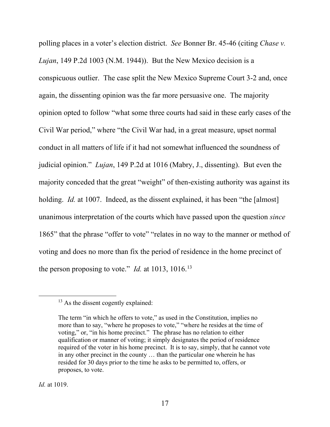polling places in a voter's election district. *See* Bonner Br. 45-46 (citing *Chase v. Lujan*, 149 P.2d 1003 (N.M. 1944)). But the New Mexico decision is a conspicuous outlier. The case split the New Mexico Supreme Court 3-2 and, once again, the dissenting opinion was the far more persuasive one. The majority opinion opted to follow "what some three courts had said in these early cases of the Civil War period," where "the Civil War had, in a great measure, upset normal conduct in all matters of life if it had not somewhat influenced the soundness of judicial opinion." *Lujan*, 149 P.2d at 1016 (Mabry, J., dissenting). But even the majority conceded that the great "weight" of then-existing authority was against its holding. *Id.* at 1007. Indeed, as the dissent explained, it has been "the [almost] unanimous interpretation of the courts which have passed upon the question *since* 1865" that the phrase "offer to vote" "relates in no way to the manner or method of voting and does no more than fix the period of residence in the home precinct of the person proposing to vote." *Id.* at 10[13](#page-25-0), 1016.<sup>13</sup>

<span id="page-25-0"></span><sup>&</sup>lt;sup>13</sup> As the dissent cogently explained:

The term "in which he offers to vote," as used in the Constitution, implies no more than to say, "where he proposes to vote," "where he resides at the time of voting," or, "in his home precinct." The phrase has no relation to either qualification or manner of voting; it simply designates the period of residence required of the voter in his home precinct. It is to say, simply, that he cannot vote in any other precinct in the county … than the particular one wherein he has resided for 30 days prior to the time he asks to be permitted to, offers, or proposes, to vote.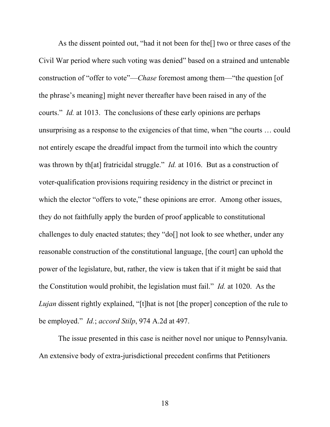As the dissent pointed out, "had it not been for the[] two or three cases of the Civil War period where such voting was denied" based on a strained and untenable construction of "offer to vote"—*Chase* foremost among them—"the question [of the phrase's meaning] might never thereafter have been raised in any of the courts." *Id.* at 1013. The conclusions of these early opinions are perhaps unsurprising as a response to the exigencies of that time, when "the courts … could not entirely escape the dreadful impact from the turmoil into which the country was thrown by th[at] fratricidal struggle." *Id.* at 1016. But as a construction of voter-qualification provisions requiring residency in the district or precinct in which the elector "offers to vote," these opinions are error. Among other issues, they do not faithfully apply the burden of proof applicable to constitutional challenges to duly enacted statutes; they "do[] not look to see whether, under any reasonable construction of the constitutional language, [the court] can uphold the power of the legislature, but, rather, the view is taken that if it might be said that the Constitution would prohibit, the legislation must fail." *Id.* at 1020. As the *Lujan* dissent rightly explained, "[t]hat is not [the proper] conception of the rule to be employed." *Id.*; *accord Stilp*, 974 A.2d at 497.

<span id="page-26-0"></span>The issue presented in this case is neither novel nor unique to Pennsylvania. An extensive body of extra-jurisdictional precedent confirms that Petitioners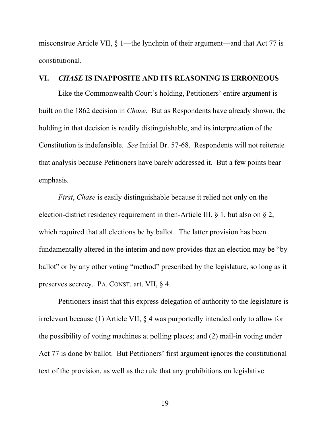misconstrue Article VII, § 1—the lynchpin of their argument—and that Act 77 is constitutional.

#### **VI.** *CHASE* **IS INAPPOSITE AND ITS REASONING IS ERRONEOUS**

Like the Commonwealth Court's holding, Petitioners' entire argument is built on the 1862 decision in *Chase*. But as Respondents have already shown, the holding in that decision is readily distinguishable, and its interpretation of the Constitution is indefensible. *See* Initial Br. 57-68. Respondents will not reiterate that analysis because Petitioners have barely addressed it. But a few points bear emphasis.

*First*, *Chase* is easily distinguishable because it relied not only on the election-district residency requirement in then-Article III, § 1, but also on § 2, which required that all elections be by ballot. The latter provision has been fundamentally altered in the interim and now provides that an election may be "by ballot" or by any other voting "method" prescribed by the legislature, so long as it preserves secrecy. PA. CONST. art. VII, § 4.

Petitioners insist that this express delegation of authority to the legislature is irrelevant because (1) Article VII, § 4 was purportedly intended only to allow for the possibility of voting machines at polling places; and (2) mail-in voting under Act 77 is done by ballot. But Petitioners' first argument ignores the constitutional text of the provision, as well as the rule that any prohibitions on legislative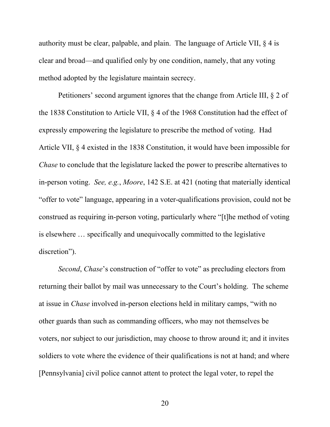authority must be clear, palpable, and plain. The language of Article VII,  $\S$  4 is clear and broad—and qualified only by one condition, namely, that any voting method adopted by the legislature maintain secrecy.

<span id="page-28-0"></span>Petitioners' second argument ignores that the change from Article III, § 2 of the 1838 Constitution to Article VII, § 4 of the 1968 Constitution had the effect of expressly empowering the legislature to prescribe the method of voting. Had Article VII, § 4 existed in the 1838 Constitution, it would have been impossible for *Chase* to conclude that the legislature lacked the power to prescribe alternatives to in-person voting. *See, e.g.*, *Moore*, 142 S.E. at 421 (noting that materially identical "offer to vote" language, appearing in a voter-qualifications provision, could not be construed as requiring in-person voting, particularly where "[t]he method of voting is elsewhere … specifically and unequivocally committed to the legislative discretion").

*Second*, *Chase*'s construction of "offer to vote" as precluding electors from returning their ballot by mail was unnecessary to the Court's holding. The scheme at issue in *Chase* involved in-person elections held in military camps, "with no other guards than such as commanding officers, who may not themselves be voters, nor subject to our jurisdiction, may choose to throw around it; and it invites soldiers to vote where the evidence of their qualifications is not at hand; and where [Pennsylvania] civil police cannot attent to protect the legal voter, to repel the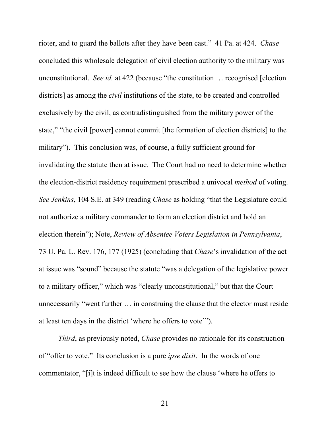<span id="page-29-0"></span>rioter, and to guard the ballots after they have been cast." 41 Pa. at 424. *Chase*  concluded this wholesale delegation of civil election authority to the military was unconstitutional. *See id.* at 422 (because "the constitution … recognised [election districts] as among the *civil* institutions of the state, to be created and controlled exclusively by the civil, as contradistinguished from the military power of the state," "the civil [power] cannot commit [the formation of election districts] to the military"). This conclusion was, of course, a fully sufficient ground for invalidating the statute then at issue. The Court had no need to determine whether the election-district residency requirement prescribed a univocal *method* of voting. *See Jenkins*, 104 S.E. at 349 (reading *Chase* as holding "that the Legislature could not authorize a military commander to form an election district and hold an election therein"); Note, *Review of Absentee Voters Legislation in Pennsylvania*, 73 U. Pa. L. Rev. 176, 177 (1925) (concluding that *Chase*'s invalidation of the act at issue was "sound" because the statute "was a delegation of the legislative power to a military officer," which was "clearly unconstitutional," but that the Court unnecessarily "went further … in construing the clause that the elector must reside at least ten days in the district 'where he offers to vote'").

<span id="page-29-1"></span>*Third*, as previously noted, *Chase* provides no rationale for its construction of "offer to vote." Its conclusion is a pure *ipse dixit*. In the words of one commentator, "[i]t is indeed difficult to see how the clause 'where he offers to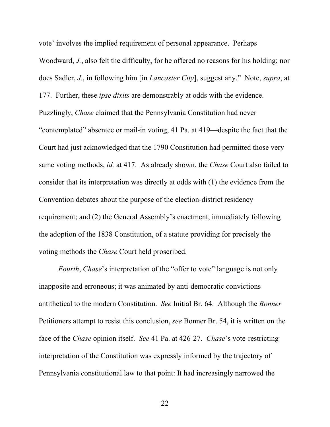vote' involves the implied requirement of personal appearance. Perhaps Woodward, *J.*, also felt the difficulty, for he offered no reasons for his holding; nor does Sadler, *J.*, in following him [in *Lancaster City*], suggest any."Note, *supra*, at 177. Further, these *ipse dixits* are demonstrably at odds with the evidence. Puzzlingly, *Chase* claimed that the Pennsylvania Constitution had never "contemplated" absentee or mail-in voting, 41 Pa. at 419—despite the fact that the Court had just acknowledged that the 1790 Constitution had permitted those very same voting methods, *id.* at 417. As already shown, the *Chase* Court also failed to consider that its interpretation was directly at odds with (1) the evidence from the Convention debates about the purpose of the election-district residency requirement; and (2) the General Assembly's enactment, immediately following the adoption of the 1838 Constitution, of a statute providing for precisely the voting methods the *Chase* Court held proscribed.

*Fourth, Chase's* interpretation of the "offer to vote" language is not only inapposite and erroneous; it was animated by anti-democratic convictions antithetical to the modern Constitution. *See* Initial Br. 64. Although the *Bonner*  Petitioners attempt to resist this conclusion, *see* Bonner Br. 54, it is written on the face of the *Chase* opinion itself. *See* 41 Pa. at 426-27. *Chase*'s vote-restricting interpretation of the Constitution was expressly informed by the trajectory of Pennsylvania constitutional law to that point: It had increasingly narrowed the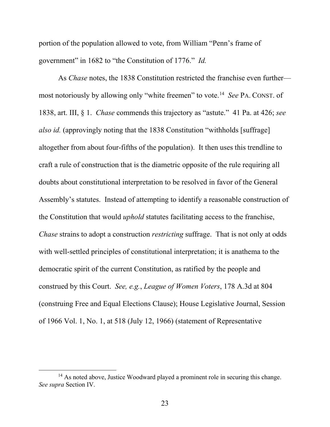portion of the population allowed to vote, from William "Penn's frame of government" in 1682 to "the Constitution of 1776." *Id.*

As *Chase* notes, the 1838 Constitution restricted the franchise even further most notoriously by allowing only "white freemen" to vote.[14](#page-31-1) *See* PA. CONST. of 1838, art. III, § 1. *Chase* commends this trajectory as "astute." 41 Pa. at 426; *see also id.* (approvingly noting that the 1838 Constitution "withholds [suffrage] altogether from about four-fifths of the population). It then uses this trendline to craft a rule of construction that is the diametric opposite of the rule requiring all doubts about constitutional interpretation to be resolved in favor of the General Assembly's statutes. Instead of attempting to identify a reasonable construction of the Constitution that would *uphold* statutes facilitating access to the franchise, *Chase* strains to adopt a construction *restricting* suffrage. That is not only at odds with well-settled principles of constitutional interpretation; it is anathema to the democratic spirit of the current Constitution, as ratified by the people and construed by this Court. *See, e.g.*, *League of Women Voters*, 178 A.3d at 804 (construing Free and Equal Elections Clause); House Legislative Journal, Session of 1966 Vol. 1, No. 1, at 518 (July 12, 1966) (statement of Representative

<span id="page-31-1"></span><span id="page-31-0"></span><sup>&</sup>lt;sup>14</sup> As noted above, Justice Woodward played a prominent role in securing this change. *See supra* Section IV.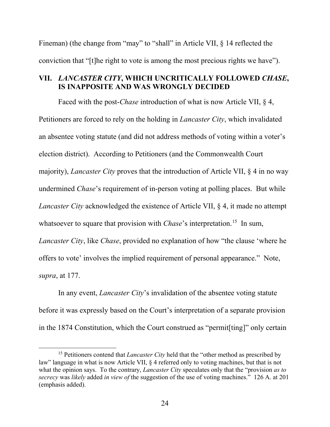Fineman) (the change from "may" to "shall" in Article VII, § 14 reflected the conviction that "[t]he right to vote is among the most precious rights we have").

## **VII.** *LANCASTER CITY***, WHICH UNCRITICALLY FOLLOWED** *CHASE***, IS INAPPOSITE AND WAS WRONGLY DECIDED**

Faced with the post-*Chase* introduction of what is now Article VII, § 4, Petitioners are forced to rely on the holding in *Lancaster City*, which invalidated an absentee voting statute (and did not address methods of voting within a voter's election district). According to Petitioners (and the Commonwealth Court majority), *Lancaster City* proves that the introduction of Article VII, § 4 in no way undermined *Chase*'s requirement of in-person voting at polling places. But while *Lancaster City* acknowledged the existence of Article VII, § 4, it made no attempt whatsoever to square that provision with *Chase*'s interpretation.<sup>[15](#page-32-0)</sup> In sum, *Lancaster City*, like *Chase*, provided no explanation of how "the clause 'where he offers to vote' involves the implied requirement of personal appearance." Note, *supra*, at 177.

In any event, *Lancaster City*'s invalidation of the absentee voting statute before it was expressly based on the Court's interpretation of a separate provision in the 1874 Constitution, which the Court construed as "permit[ting]" only certain

<span id="page-32-0"></span><sup>&</sup>lt;sup>15</sup> Petitioners contend that *Lancaster City* held that the "other method as prescribed by law" language in what is now Article VII, § 4 referred only to voting machines, but that is not what the opinion says. To the contrary, *Lancaster City* speculates only that the "provision *as to secrecy* was *likely* added *in view of* the suggestion of the use of voting machines." 126 A. at 201 (emphasis added).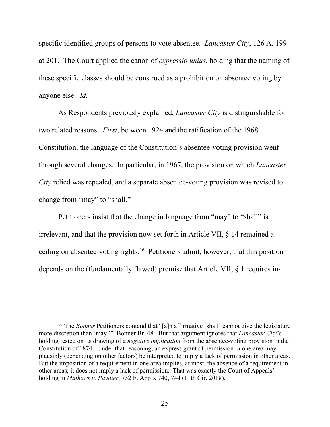specific identified groups of persons to vote absentee. *Lancaster City*, 126 A. 199 at 201. The Court applied the canon of *expressio unius*, holding that the naming of these specific classes should be construed as a prohibition on absentee voting by anyone else. *Id.*

As Respondents previously explained, *Lancaster City* is distinguishable for two related reasons. *First*, between 1924 and the ratification of the 1968 Constitution, the language of the Constitution's absentee-voting provision went through several changes. In particular, in 1967, the provision on which *Lancaster City* relied was repealed, and a separate absentee-voting provision was revised to change from "may" to "shall."

Petitioners insist that the change in language from "may" to "shall" is irrelevant, and that the provision now set forth in Article VII, § 14 remained a ceiling on absentee-voting rights.[16](#page-33-1) Petitioners admit, however, that this position depends on the (fundamentally flawed) premise that Article VII, § 1 requires in-

<span id="page-33-1"></span><span id="page-33-0"></span><sup>&</sup>lt;sup>16</sup> The *Bonner* Petitioners contend that "[a]n affirmative 'shall' cannot give the legislature more discretion than 'may.'" Bonner Br. 48. But that argument ignores that *Lancaster City*'s holding rested on its drawing of a *negative implication* from the absentee-voting provision in the Constitution of 1874. Under that reasoning, an express grant of permission in one area may plausibly (depending on other factors) be interpreted to imply a lack of permission in other areas. But the imposition of a requirement in one area implies, at most, the absence of a requirement in other areas; it does not imply a lack of permission. That was exactly the Court of Appeals' holding in *Mathews v. Paynter*, 752 F. App'x 740, 744 (11th Cir. 2018).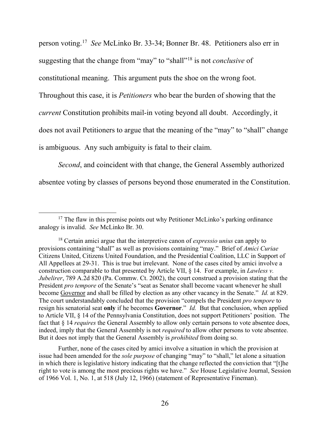person voting.[17](#page-34-1) *See* McLinko Br. 33-34; Bonner Br. 48. Petitioners also err in suggesting that the change from "may" to "shall"[18](#page-34-2) is not *conclusive* of constitutional meaning. This argument puts the shoe on the wrong foot. Throughout this case, it is *Petitioners* who bear the burden of showing that the *current* Constitution prohibits mail-in voting beyond all doubt. Accordingly, it does not avail Petitioners to argue that the meaning of the "may" to "shall" change is ambiguous. Any such ambiguity is fatal to their claim.

*Second*, and coincident with that change, the General Assembly authorized absentee voting by classes of persons beyond those enumerated in the Constitution.

Further, none of the cases cited by amici involve a situation in which the provision at issue had been amended for the *sole purpose* of changing "may" to "shall," let alone a situation in which there is legislative history indicating that the change reflected the conviction that "[t]he right to vote is among the most precious rights we have." *See* House Legislative Journal, Session of 1966 Vol. 1, No. 1, at 518 (July 12, 1966) (statement of Representative Fineman).

<span id="page-34-1"></span> $17$  The flaw in this premise points out why Petitioner McLinko's parking ordinance analogy is invalid. *See* McLinko Br. 30.

<span id="page-34-2"></span><span id="page-34-0"></span><sup>18</sup> Certain amici argue that the interpretive canon of *expressio unius* can apply to provisions containing "shall" as well as provisions containing "may." Brief of *Amici Curiae*  Citizens United, Citizens United Foundation, and the Presidential Coalition, LLC in Support of All Appellees at 29-31. This is true but irrelevant. None of the cases cited by amici involve a construction comparable to that presented by Article VII, § 14. For example, in *Lawless v. Jubelirer*, 789 A.2d 820 (Pa. Commw. Ct. 2002), the court construed a provision stating that the President *pro tempore* of the Senate's "seat as Senator shall become vacant whenever he shall become Governor and shall be filled by election as any other vacancy in the Senate." *Id.* at 829. The court understandably concluded that the provision "compels the President *pro tempore* to resign his senatorial seat **only** if he becomes **Governor**." *Id.* But that conclusion, when applied to Article VII, § 14 of the Pennsylvania Constitution, does not support Petitioners' position. The fact that § 14 *requires* the General Assembly to allow only certain persons to vote absentee does, indeed, imply that the General Assembly is not *required* to allow other persons to vote absentee. But it does not imply that the General Assembly is *prohibited* from doing so.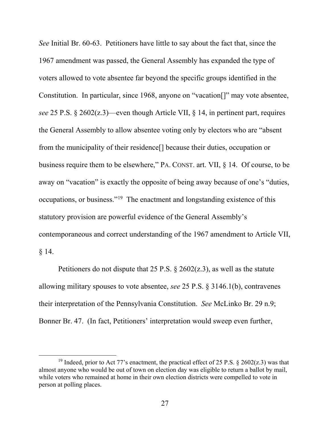<span id="page-35-0"></span>*See* Initial Br. 60-63. Petitioners have little to say about the fact that, since the 1967 amendment was passed, the General Assembly has expanded the type of voters allowed to vote absentee far beyond the specific groups identified in the Constitution. In particular, since 1968, anyone on "vacation[]" may vote absentee, *see* 25 P.S. § 2602(z.3)—even though Article VII, § 14, in pertinent part, requires the General Assembly to allow absentee voting only by electors who are "absent from the municipality of their residence[] because their duties, occupation or business require them to be elsewhere," PA. CONST. art. VII, § 14. Of course, to be away on "vacation" is exactly the opposite of being away because of one's "duties, occupations, or business."[19](#page-35-2) The enactment and longstanding existence of this statutory provision are powerful evidence of the General Assembly's contemporaneous and correct understanding of the 1967 amendment to Article VII, § 14.

<span id="page-35-1"></span>Petitioners do not dispute that 25 P.S.  $\S$  2602(z.3), as well as the statute allowing military spouses to vote absentee, *see* 25 P.S. § 3146.1(b), contravenes their interpretation of the Pennsylvania Constitution. *See* McLinko Br. 29 n.9; Bonner Br. 47. (In fact, Petitioners' interpretation would sweep even further,

<span id="page-35-2"></span><sup>&</sup>lt;sup>19</sup> Indeed, prior to Act 77's enactment, the practical effect of 25 P.S. § 2602(z.3) was that almost anyone who would be out of town on election day was eligible to return a ballot by mail, while voters who remained at home in their own election districts were compelled to vote in person at polling places.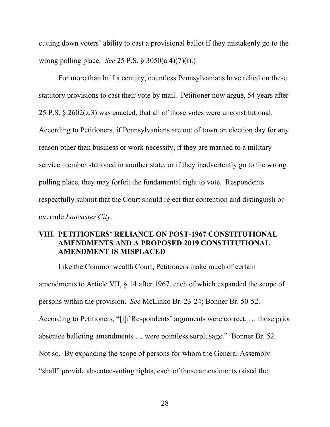<span id="page-36-1"></span>cutting down voters' ability to cast a provisional ballot if they mistakenly go to the wrong polling place. *See* 25 P.S. § 3050(a.4)(7)(i).)

<span id="page-36-0"></span>For more than half a century, countless Pennsylvanians have relied on these statutory provisions to cast their vote by mail. Petitioner now argue, 54 years after 25 P.S. § 2602(z.3) was enacted, that all of those votes were unconstitutional. According to Petitioners, if Pennsylvanians are out of town on election day for any reason other than business or work necessity, if they are married to a military service member stationed in another state, or if they inadvertently go to the wrong polling place, they may forfeit the fundamental right to vote. Respondents respectfully submit that the Court should reject that contention and distinguish or overrule *Lancaster City*.

# **VIII. PETITIONERS' RELIANCE ON POST-1967 CONSTITUTIONAL AMENDMENTS AND A PROPOSED 2019 CONSTITUTIONAL AMENDMENT IS MISPLACED**

Like the Commonwealth Court, Petitioners make much of certain amendments to Article VII, § 14 after 1967, each of which expanded the scope of persons within the provision. *See* McLinko Br. 23-24; Bonner Br. 50-52. According to Petitioners, "[i]f Respondents' arguments were correct, … those prior absentee balloting amendments … were pointless surplusage." Bonner Br. 52. Not so. By expanding the scope of persons for whom the General Assembly "shall" provide absentee-voting rights, each of those amendments raised the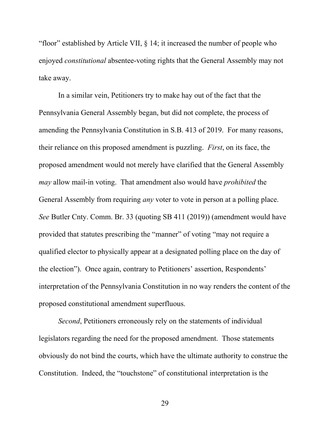"floor" established by Article VII, § 14; it increased the number of people who enjoyed *constitutional* absentee-voting rights that the General Assembly may not take away.

In a similar vein, Petitioners try to make hay out of the fact that the Pennsylvania General Assembly began, but did not complete, the process of amending the Pennsylvania Constitution in S.B. 413 of 2019. For many reasons, their reliance on this proposed amendment is puzzling. *First*, on its face, the proposed amendment would not merely have clarified that the General Assembly *may* allow mail-in voting. That amendment also would have *prohibited* the General Assembly from requiring *any* voter to vote in person at a polling place. *See* Butler Cnty. Comm. Br. 33 (quoting SB 411 (2019)) (amendment would have provided that statutes prescribing the "manner" of voting "may not require a qualified elector to physically appear at a designated polling place on the day of the election"). Once again, contrary to Petitioners' assertion, Respondents' interpretation of the Pennsylvania Constitution in no way renders the content of the proposed constitutional amendment superfluous.

*Second*, Petitioners erroneously rely on the statements of individual legislators regarding the need for the proposed amendment. Those statements obviously do not bind the courts, which have the ultimate authority to construe the Constitution. Indeed, the "touchstone" of constitutional interpretation is the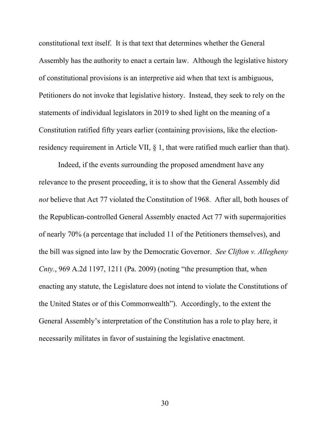constitutional text itself. It is that text that determines whether the General Assembly has the authority to enact a certain law. Although the legislative history of constitutional provisions is an interpretive aid when that text is ambiguous, Petitioners do not invoke that legislative history. Instead, they seek to rely on the statements of individual legislators in 2019 to shed light on the meaning of a Constitution ratified fifty years earlier (containing provisions, like the electionresidency requirement in Article VII, § 1, that were ratified much earlier than that).

<span id="page-38-0"></span>Indeed, if the events surrounding the proposed amendment have any relevance to the present proceeding, it is to show that the General Assembly did *not* believe that Act 77 violated the Constitution of 1968. After all, both houses of the Republican-controlled General Assembly enacted Act 77 with supermajorities of nearly 70% (a percentage that included 11 of the Petitioners themselves), and the bill was signed into law by the Democratic Governor. *See Clifton v. Allegheny Cnty.*, 969 A.2d 1197, 1211 (Pa. 2009) (noting "the presumption that, when enacting any statute, the Legislature does not intend to violate the Constitutions of the United States or of this Commonwealth"). Accordingly, to the extent the General Assembly's interpretation of the Constitution has a role to play here, it necessarily militates in favor of sustaining the legislative enactment.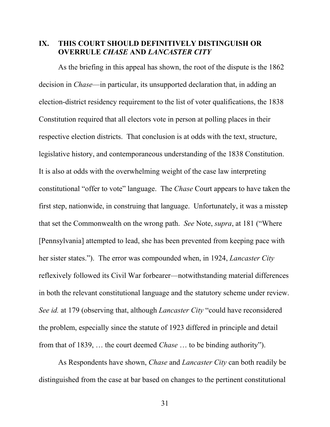#### **IX. THIS COURT SHOULD DEFINITIVELY DISTINGUISH OR OVERRULE** *CHASE* **AND** *LANCASTER CITY*

As the briefing in this appeal has shown, the root of the dispute is the 1862 decision in *Chase*—in particular, its unsupported declaration that, in adding an election-district residency requirement to the list of voter qualifications, the 1838 Constitution required that all electors vote in person at polling places in their respective election districts. That conclusion is at odds with the text, structure, legislative history, and contemporaneous understanding of the 1838 Constitution. It is also at odds with the overwhelming weight of the case law interpreting constitutional "offer to vote" language. The *Chase* Court appears to have taken the first step, nationwide, in construing that language. Unfortunately, it was a misstep that set the Commonwealth on the wrong path. *See* Note, *supra*, at 181 ("Where [Pennsylvania] attempted to lead, she has been prevented from keeping pace with her sister states."). The error was compounded when, in 1924, *Lancaster City*  reflexively followed its Civil War forbearer—notwithstanding material differences in both the relevant constitutional language and the statutory scheme under review. *See id.* at 179 (observing that, although *Lancaster City* "could have reconsidered the problem, especially since the statute of 1923 differed in principle and detail from that of 1839, … the court deemed *Chase* … to be binding authority").

As Respondents have shown, *Chase* and *Lancaster City* can both readily be distinguished from the case at bar based on changes to the pertinent constitutional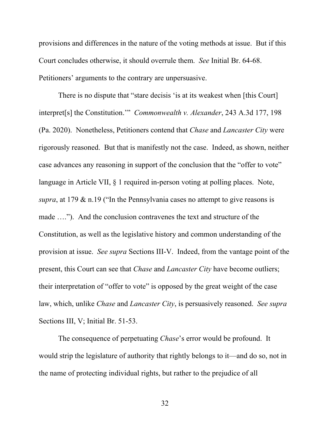provisions and differences in the nature of the voting methods at issue. But if this Court concludes otherwise, it should overrule them. *See* Initial Br. 64-68. Petitioners' arguments to the contrary are unpersuasive.

<span id="page-40-0"></span>There is no dispute that "stare decisis 'is at its weakest when [this Court] interpret[s] the Constitution.'" *Commonwealth v. Alexander*, 243 A.3d 177, 198 (Pa. 2020). Nonetheless, Petitioners contend that *Chase* and *Lancaster City* were rigorously reasoned. But that is manifestly not the case. Indeed, as shown, neither case advances any reasoning in support of the conclusion that the "offer to vote" language in Article VII, § 1 required in-person voting at polling places. Note, *supra*, at 179 & n.19 ("In the Pennsylvania cases no attempt to give reasons is made …."). And the conclusion contravenes the text and structure of the Constitution, as well as the legislative history and common understanding of the provision at issue. *See supra* Sections III-V. Indeed, from the vantage point of the present, this Court can see that *Chase* and *Lancaster City* have become outliers; their interpretation of "offer to vote" is opposed by the great weight of the case law, which, unlike *Chase* and *Lancaster City*, is persuasively reasoned. *See supra*  Sections III, V; Initial Br. 51-53.

The consequence of perpetuating *Chase*'s error would be profound. It would strip the legislature of authority that rightly belongs to it—and do so, not in the name of protecting individual rights, but rather to the prejudice of all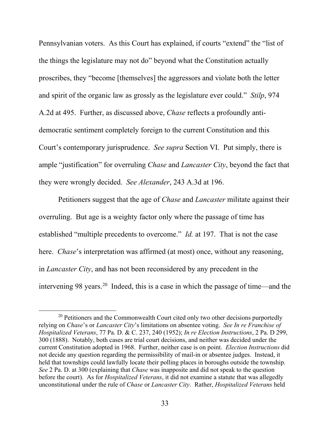<span id="page-41-3"></span>Pennsylvanian voters. As this Court has explained, if courts "extend" the "list of the things the legislature may not do" beyond what the Constitution actually proscribes, they "become [themselves] the aggressors and violate both the letter and spirit of the organic law as grossly as the legislature ever could." *Stilp*, 974 A.2d at 495. Further, as discussed above, *Chase* reflects a profoundly antidemocratic sentiment completely foreign to the current Constitution and this Court's contemporary jurisprudence. *See supra* Section VI.Put simply, there is ample "justification" for overruling *Chase* and *Lancaster City*, beyond the fact that they were wrongly decided. *See Alexander*, 243 A.3d at 196.

<span id="page-41-0"></span>Petitioners suggest that the age of *Chase* and *Lancaster* militate against their overruling. But age is a weighty factor only where the passage of time has established "multiple precedents to overcome." *Id.* at 197. That is not the case here. *Chase*'s interpretation was affirmed (at most) once, without any reasoning, in *Lancaster City*, and has not been reconsidered by any precedent in the intervening 98 years.[20](#page-41-4) Indeed, this is a case in which the passage of time—and the

<span id="page-41-4"></span><span id="page-41-2"></span><span id="page-41-1"></span><sup>&</sup>lt;sup>20</sup> Petitioners and the Commonwealth Court cited only two other decisions purportedly relying on *Chase*'s or *Lancaster City*'s limitations on absentee voting. *See In re Franchise of Hospitalized Veterans*, 77 Pa. D. & C. 237, 240 (1952); *In re Election Instructions*, 2 Pa. D 299, 300 (1888). Notably, both cases are trial court decisions, and neither was decided under the current Constitution adopted in 1968. Further, neither case is on point. *Election Instructions* did not decide any question regarding the permissibility of mail-in or absentee judges. Instead, it held that townships could lawfully locate their polling places in boroughs outside the township. *See* 2 Pa. D. at 300 (explaining that *Chase* was inapposite and did not speak to the question before the court). As for *Hospitalized Veterans*, it did not examine a statute that was allegedly unconstitutional under the rule of *Chase* or *Lancaster City*. Rather, *Hospitalized Veterans* held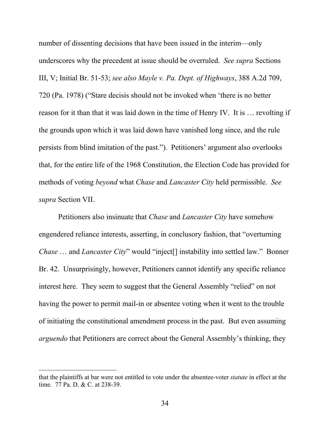<span id="page-42-1"></span>number of dissenting decisions that have been issued in the interim—only underscores why the precedent at issue should be overruled. *See supra* Sections III, V; Initial Br. 51-53; *see also Mayle v. Pa. Dept. of Highways*, 388 A.2d 709, 720 (Pa. 1978) ("Stare decisis should not be invoked when 'there is no better reason for it than that it was laid down in the time of Henry IV. It is … revolting if the grounds upon which it was laid down have vanished long since, and the rule persists from blind imitation of the past."). Petitioners' argument also overlooks that, for the entire life of the 1968 Constitution, the Election Code has provided for methods of voting *beyond* what *Chase* and *Lancaster City* held permissible. *See supra* Section VII.

Petitioners also insinuate that *Chase* and *Lancaster City* have somehow engendered reliance interests, asserting, in conclusory fashion, that "overturning *Chase* ... and *Lancaster City*" would "inject<sup>[]</sup> instability into settled law." Bonner Br. 42. Unsurprisingly, however, Petitioners cannot identify any specific reliance interest here. They seem to suggest that the General Assembly "relied" on not having the power to permit mail-in or absentee voting when it went to the trouble of initiating the constitutional amendment process in the past. But even assuming *arguendo* that Petitioners are correct about the General Assembly's thinking, they

 $\overline{a}$ 

<span id="page-42-0"></span>that the plaintiffs at bar were not entitled to vote under the absentee-voter *statute* in effect at the time. 77 Pa. D. & C. at 238-39.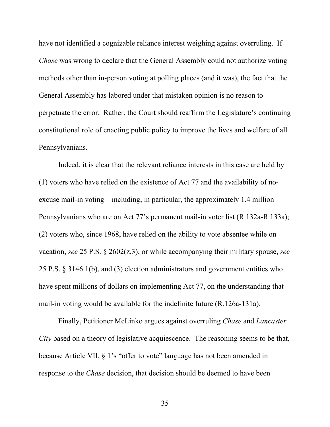have not identified a cognizable reliance interest weighing against overruling. If *Chase* was wrong to declare that the General Assembly could not authorize voting methods other than in-person voting at polling places (and it was), the fact that the General Assembly has labored under that mistaken opinion is no reason to perpetuate the error. Rather, the Court should reaffirm the Legislature's continuing constitutional role of enacting public policy to improve the lives and welfare of all Pennsylvanians.

Indeed, it is clear that the relevant reliance interests in this case are held by (1) voters who have relied on the existence of Act 77 and the availability of noexcuse mail-in voting—including, in particular, the approximately 1.4 million Pennsylvanians who are on Act 77's permanent mail-in voter list (R.132a-R.133a); (2) voters who, since 1968, have relied on the ability to vote absentee while on vacation, *see* 25 P.S. § 2602(z.3), or while accompanying their military spouse, *see*  25 P.S. § 3146.1(b), and (3) election administrators and government entities who have spent millions of dollars on implementing Act 77, on the understanding that mail-in voting would be available for the indefinite future (R.126a-131a).

<span id="page-43-0"></span>Finally, Petitioner McLinko argues against overruling *Chase* and *Lancaster City* based on a theory of legislative acquiescence. The reasoning seems to be that, because Article VII, § 1's "offer to vote" language has not been amended in response to the *Chase* decision, that decision should be deemed to have been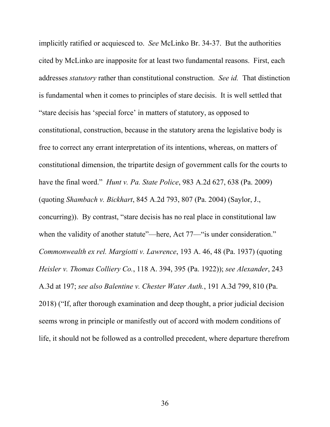<span id="page-44-5"></span><span id="page-44-4"></span><span id="page-44-3"></span><span id="page-44-2"></span><span id="page-44-1"></span><span id="page-44-0"></span>implicitly ratified or acquiesced to. *See* McLinko Br. 34-37. But the authorities cited by McLinko are inapposite for at least two fundamental reasons. First, each addresses *statutory* rather than constitutional construction. *See id.* That distinction is fundamental when it comes to principles of stare decisis. It is well settled that "stare decisis has 'special force' in matters of statutory, as opposed to constitutional, construction, because in the statutory arena the legislative body is free to correct any errant interpretation of its intentions, whereas, on matters of constitutional dimension, the tripartite design of government calls for the courts to have the final word." *Hunt v. Pa. State Police*, 983 A.2d 627, 638 (Pa. 2009) (quoting *Shambach v. Bickhart*, 845 A.2d 793, 807 (Pa. 2004) (Saylor, J., concurring)). By contrast, "stare decisis has no real place in constitutional law when the validity of another statute"—here, Act 77—"is under consideration." *Commonwealth ex rel. Margiotti v. Lawrence*, 193 A. 46, 48 (Pa. 1937) (quoting *Heisler v. Thomas Colliery Co.*, 118 A. 394, 395 (Pa. 1922)); *see Alexander*, 243 A.3d at 197; *see also Balentine v. Chester Water Auth.*, 191 A.3d 799, 810 (Pa. 2018) ("If, after thorough examination and deep thought, a prior judicial decision seems wrong in principle or manifestly out of accord with modern conditions of life, it should not be followed as a controlled precedent, where departure therefrom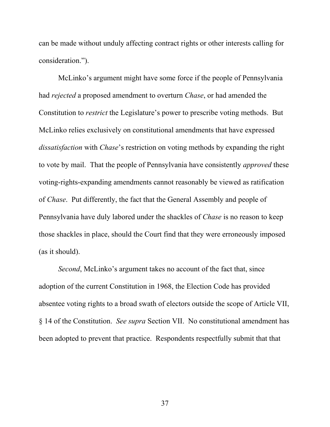can be made without unduly affecting contract rights or other interests calling for consideration.").

McLinko's argument might have some force if the people of Pennsylvania had *rejected* a proposed amendment to overturn *Chase*, or had amended the Constitution to *restrict* the Legislature's power to prescribe voting methods. But McLinko relies exclusively on constitutional amendments that have expressed *dissatisfaction* with *Chase*'s restriction on voting methods by expanding the right to vote by mail. That the people of Pennsylvania have consistently *approved* these voting-rights-expanding amendments cannot reasonably be viewed as ratification of *Chase*. Put differently, the fact that the General Assembly and people of Pennsylvania have duly labored under the shackles of *Chase* is no reason to keep those shackles in place, should the Court find that they were erroneously imposed (as it should).

*Second*, McLinko's argument takes no account of the fact that, since adoption of the current Constitution in 1968, the Election Code has provided absentee voting rights to a broad swath of electors outside the scope of Article VII, § 14 of the Constitution. *See supra* Section VII. No constitutional amendment has been adopted to prevent that practice. Respondents respectfully submit that that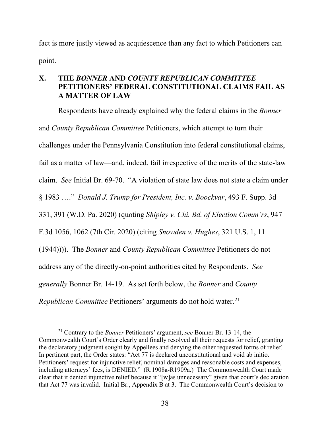fact is more justly viewed as acquiescence than any fact to which Petitioners can point.

# **X. THE** *BONNER* **AND** *COUNTY REPUBLICAN COMMITTEE*  **PETITIONERS' FEDERAL CONSTITUTIONAL CLAIMS FAIL AS A MATTER OF LAW**

<span id="page-46-3"></span><span id="page-46-1"></span><span id="page-46-0"></span>Respondents have already explained why the federal claims in the *Bonner* and *County Republican Committee* Petitioners, which attempt to turn their challenges under the Pennsylvania Constitution into federal constitutional claims, fail as a matter of law—and, indeed, fail irrespective of the merits of the state-law claim. *See* Initial Br. 69-70. "A violation of state law does not state a claim under § 1983 …." *Donald J. Trump for President, Inc. v. Boockvar*, 493 F. Supp. 3d 331, 391 (W.D. Pa. 2020) (quoting *Shipley v. Chi. Bd. of Election Comm'rs*, 947 F.3d 1056, 1062 (7th Cir. 2020) (citing *Snowden v. Hughes*, 321 U.S. 1, 11 (1944)))). The *Bonner* and *County Republican Committee* Petitioners do not address any of the directly-on-point authorities cited by Respondents. *See generally* Bonner Br. 14-19. As set forth below, the *Bonner* and *County Republican Committee Petitioners' arguments do not hold water.*<sup>[21](#page-46-4)</sup>

<span id="page-46-4"></span><span id="page-46-2"></span> <sup>21</sup> Contrary to the *Bonner* Petitioners' argument, *see* Bonner Br. 13-14, the Commonwealth Court's Order clearly and finally resolved all their requests for relief, granting the declaratory judgment sought by Appellees and denying the other requested forms of relief. In pertinent part, the Order states: "Act 77 is declared unconstitutional and void ab initio. Petitioners' request for injunctive relief, nominal damages and reasonable costs and expenses, including attorneys' fees, is DENIED." (R.1908a-R1909a.) The Commonwealth Court made clear that it denied injunctive relief because it "[w]as unnecessary" given that court's declaration that Act 77 was invalid. Initial Br., Appendix B at 3. The Commonwealth Court's decision to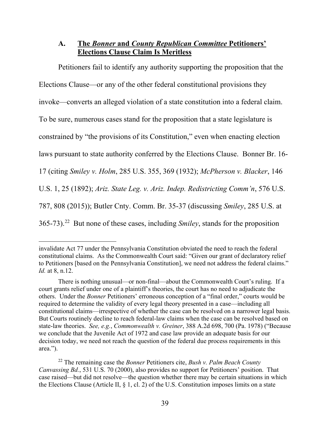# **A. The** *Bonner* **and** *County Republican Committee* **Petitioners' Elections Clause Claim Is Meritless**

Petitioners fail to identify any authority supporting the proposition that the Elections Clause—or any of the other federal constitutional provisions they invoke—converts an alleged violation of a state constitution into a federal claim. To be sure, numerous cases stand for the proposition that a state legislature is constrained by "the provisions of its Constitution," even when enacting election laws pursuant to state authority conferred by the Elections Clause. Bonner Br. 16- 17 (citing *Smiley v. Holm*, 285 U.S. 355, 369 (1932); *McPherson v. Blacker*, 146 U.S. 1, 25 (1892); *Ariz. State Leg. v. Ariz. Indep. Redistricting Comm'n*, 576 U.S. 787, 808 (2015)); Butler Cnty. Comm. Br. 35-37 (discussing *Smiley*, 285 U.S. at 365-73).[22](#page-47-5) But none of these cases, including *Smiley*, stands for the proposition

<span id="page-47-4"></span><span id="page-47-3"></span><span id="page-47-0"></span> $\overline{a}$ 

invalidate Act 77 under the Pennsylvania Constitution obviated the need to reach the federal constitutional claims. As the Commonwealth Court said: "Given our grant of declaratory relief to Petitioners [based on the Pennsylvania Constitution], we need not address the federal claims." *Id.* at 8, n.12.

There is nothing unusual—or non-final—about the Commonwealth Court's ruling. If a court grants relief under one of a plaintiff's theories, the court has no need to adjudicate the others. Under the *Bonner* Petitioners' erroneous conception of a "final order," courts would be required to determine the validity of every legal theory presented in a case—including all constitutional claims—irrespective of whether the case can be resolved on a narrower legal basis. But Courts routinely decline to reach federal-law claims when the case can be resolved based on state-law theories. *See, e.g.*, *Commonwealth v. Greiner*, 388 A.2d 698, 700 (Pa. 1978) ("Because we conclude that the Juvenile Act of 1972 and case law provide an adequate basis for our decision today, we need not reach the question of the federal due process requirements in this area.").

<span id="page-47-5"></span><span id="page-47-2"></span><span id="page-47-1"></span><sup>22</sup> The remaining case the *Bonner* Petitioners cite, *Bush v. Palm Beach County Canvassing Bd.*, 531 U.S. 70 (2000), also provides no support for Petitioners' position. That case raised—but did not resolve—the question whether there may be certain situations in which the Elections Clause (Article II, § 1, cl. 2) of the U.S. Constitution imposes limits on a state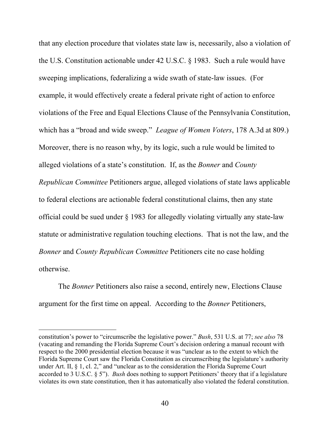<span id="page-48-3"></span><span id="page-48-1"></span>that any election procedure that violates state law is, necessarily, also a violation of the U.S. Constitution actionable under 42 U.S.C. § 1983. Such a rule would have sweeping implications, federalizing a wide swath of state-law issues. (For example, it would effectively create a federal private right of action to enforce violations of the Free and Equal Elections Clause of the Pennsylvania Constitution, which has a "broad and wide sweep." *League of Women Voters*, 178 A.3d at 809.) Moreover, there is no reason why, by its logic, such a rule would be limited to alleged violations of a state's constitution. If, as the *Bonner* and *County Republican Committee* Petitioners argue, alleged violations of state laws applicable to federal elections are actionable federal constitutional claims, then any state official could be sued under § 1983 for allegedly violating virtually any state-law statute or administrative regulation touching elections. That is not the law, and the *Bonner* and *County Republican Committee* Petitioners cite no case holding otherwise.

The *Bonner* Petitioners also raise a second, entirely new, Elections Clause argument for the first time on appeal. According to the *Bonner* Petitioners,

<span id="page-48-0"></span> $\overline{a}$ 

<span id="page-48-2"></span>constitution's power to "circumscribe the legislative power." *Bush*, 531 U.S. at 77; *see also* 78 (vacating and remanding the Florida Supreme Court's decision ordering a manual recount with respect to the 2000 presidential election because it was "unclear as to the extent to which the Florida Supreme Court saw the Florida Constitution as circumscribing the legislature's authority under Art. II, § 1, cl. 2," and "unclear as to the consideration the Florida Supreme Court accorded to 3 U.S.C. § 5"). *Bush* does nothing to support Petitioners' theory that if a legislature violates its own state constitution, then it has automatically also violated the federal constitution.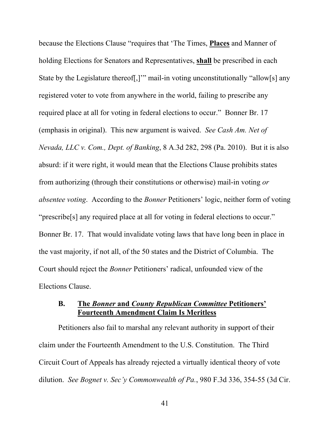<span id="page-49-1"></span>because the Elections Clause "requires that 'The Times, **Places** and Manner of holding Elections for Senators and Representatives, **shall** be prescribed in each State by the Legislature thereof[,]'" mail-in voting unconstitutionally "allow[s] any registered voter to vote from anywhere in the world, failing to prescribe any required place at all for voting in federal elections to occur." Bonner Br. 17 (emphasis in original). This new argument is waived. *See Cash Am. Net of Nevada, LLC v. Com., Dept. of Banking*, 8 A.3d 282, 298 (Pa. 2010). But it is also absurd: if it were right, it would mean that the Elections Clause prohibits states from authorizing (through their constitutions or otherwise) mail-in voting *or absentee voting*. According to the *Bonner* Petitioners' logic, neither form of voting "prescribe[s] any required place at all for voting in federal elections to occur." Bonner Br. 17. That would invalidate voting laws that have long been in place in the vast majority, if not all, of the 50 states and the District of Columbia. The Court should reject the *Bonner* Petitioners' radical, unfounded view of the Elections Clause.

# **B. The** *Bonner* **and** *County Republican Committee* **Petitioners' Fourteenth Amendment Claim Is Meritless**

<span id="page-49-0"></span>Petitioners also fail to marshal any relevant authority in support of their claim under the Fourteenth Amendment to the U.S. Constitution. The Third Circuit Court of Appeals has already rejected a virtually identical theory of vote dilution. *See Bognet v. Sec'y Commonwealth of Pa.*, 980 F.3d 336, 354-55 (3d Cir.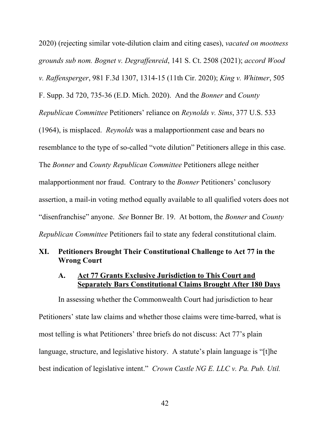<span id="page-50-3"></span><span id="page-50-2"></span><span id="page-50-1"></span>2020) (rejecting similar vote-dilution claim and citing cases), *vacated on mootness grounds sub nom. Bognet v. Degraffenreid*, 141 S. Ct. 2508 (2021); *accord Wood v. Raffensperger*, 981 F.3d 1307, 1314-15 (11th Cir. 2020); *King v. Whitmer*, 505 F. Supp. 3d 720, 735-36 (E.D. Mich. 2020). And the *Bonner* and *County Republican Committee* Petitioners' reliance on *Reynolds v. Sims*, 377 U.S. 533 (1964), is misplaced. *Reynolds* was a malapportionment case and bears no resemblance to the type of so-called "vote dilution" Petitioners allege in this case. The *Bonner* and *County Republican Committee* Petitioners allege neither malapportionment nor fraud. Contrary to the *Bonner* Petitioners' conclusory assertion, a mail-in voting method equally available to all qualified voters does not "disenfranchise" anyone. *See* Bonner Br. 19. At bottom, the *Bonner* and *County Republican Committee* Petitioners fail to state any federal constitutional claim.

## **XI. Petitioners Brought Their Constitutional Challenge to Act 77 in the Wrong Court**

## <span id="page-50-0"></span>**A. Act 77 Grants Exclusive Jurisdiction to This Court and Separately Bars Constitutional Claims Brought After 180 Days**

In assessing whether the Commonwealth Court had jurisdiction to hear Petitioners' state law claims and whether those claims were time-barred, what is most telling is what Petitioners' three briefs do not discuss: Act 77's plain language, structure, and legislative history. A statute's plain language is "[t]he best indication of legislative intent." *Crown Castle NG E. LLC v. Pa. Pub. Util.*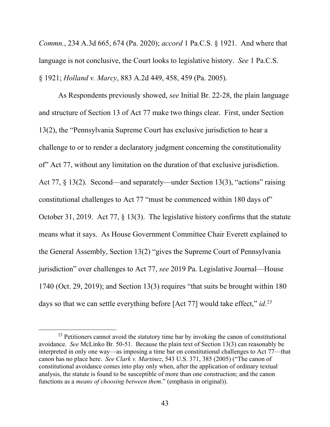<span id="page-51-2"></span>*Commn.*, 234 A.3d 665, 674 (Pa. 2020); *accord* 1 Pa.C.S. § 1921. And where that language is not conclusive, the Court looks to legislative history. *See* 1 Pa.C.S. § 1921; *Holland v. Marcy*, 883 A.2d 449, 458, 459 (Pa. 2005).

<span id="page-51-1"></span>As Respondents previously showed, *see* Initial Br. 22-28, the plain language and structure of Section 13 of Act 77 make two things clear. First, under Section 13(2), the "Pennsylvania Supreme Court has exclusive jurisdiction to hear a challenge to or to render a declaratory judgment concerning the constitutionality of" Act 77, without any limitation on the duration of that exclusive jurisdiction. Act 77, § 13(2). Second—and separately—under Section 13(3), "actions" raising constitutional challenges to Act 77 "must be commenced within 180 days of" October 31, 2019. Act 77, § 13(3). The legislative history confirms that the statute means what it says. As House Government Committee Chair Everett explained to the General Assembly, Section 13(2) "gives the Supreme Court of Pennsylvania jurisdiction" over challenges to Act 77, *see* 2019 Pa. Legislative Journal—House 1740 (Oct. 29, 2019); and Section 13(3) requires "that suits be brought within 180 days so that we can settle everything before [Act 77] would take effect," *id*.<sup>[23](#page-51-3)</sup>

<span id="page-51-3"></span><span id="page-51-0"></span><sup>&</sup>lt;sup>23</sup> Petitioners cannot avoid the statutory time bar by invoking the canon of constitutional avoidance. *See* McLinko Br. 50-51. Because the plain text of Section 13(3) can reasonably be interpreted in only one way—as imposing a time bar on constitutional challenges to Act 77—that canon has no place here. *See Clark v. Martinez*, 543 U.S. 371, 385 (2005) ("The canon of constitutional avoidance comes into play only when, after the application of ordinary textual analysis, the statute is found to be susceptible of more than one construction; and the canon functions as a *means of choosing between them*." (emphasis in original)).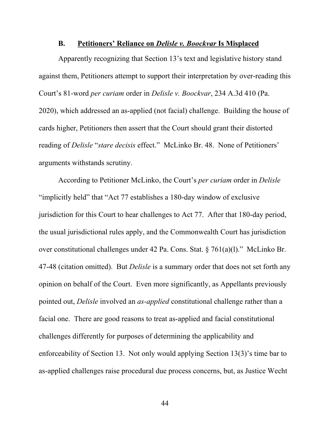#### <span id="page-52-0"></span>**B. Petitioners' Reliance on** *Delisle v. Boockvar* **Is Misplaced**

Apparently recognizing that Section 13's text and legislative history stand against them, Petitioners attempt to support their interpretation by over-reading this Court's 81-word *per curiam* order in *Delisle v. Boockvar*, 234 A.3d 410 (Pa. 2020), which addressed an as-applied (not facial) challenge. Building the house of cards higher, Petitioners then assert that the Court should grant their distorted reading of *Delisle* "*stare decisis* effect." McLinko Br. 48. None of Petitioners' arguments withstands scrutiny.

<span id="page-52-1"></span>According to Petitioner McLinko, the Court's *per curiam* order in *Delisle*  "implicitly held" that "Act 77 establishes a 180-day window of exclusive jurisdiction for this Court to hear challenges to Act 77. After that 180-day period, the usual jurisdictional rules apply, and the Commonwealth Court has jurisdiction over constitutional challenges under 42 Pa. Cons. Stat. § 761(a)(l)." McLinko Br. 47-48 (citation omitted). But *Delisle* is a summary order that does not set forth any opinion on behalf of the Court. Even more significantly, as Appellants previously pointed out, *Delisle* involved an *as-applied* constitutional challenge rather than a facial one. There are good reasons to treat as-applied and facial constitutional challenges differently for purposes of determining the applicability and enforceability of Section 13. Not only would applying Section 13(3)'s time bar to as-applied challenges raise procedural due process concerns, but, as Justice Wecht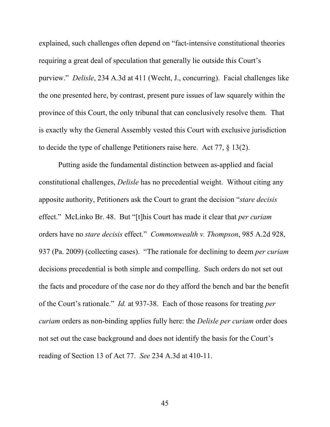<span id="page-53-1"></span>explained, such challenges often depend on "fact-intensive constitutional theories requiring a great deal of speculation that generally lie outside this Court's purview." *Delisle*, 234 A.3d at 411 (Wecht, J., concurring). Facial challenges like the one presented here, by contrast, present pure issues of law squarely within the province of this Court, the only tribunal that can conclusively resolve them. That is exactly why the General Assembly vested this Court with exclusive jurisdiction to decide the type of challenge Petitioners raise here. Act 77, § 13(2).

<span id="page-53-0"></span>Putting aside the fundamental distinction between as-applied and facial constitutional challenges, *Delisle* has no precedential weight. Without citing any apposite authority, Petitioners ask the Court to grant the decision "*stare decisis*  effect." McLinko Br. 48. But "[t]his Court has made it clear that *per curiam* orders have no *stare decisis* effect." *Commonwealth v. Thompson*, 985 A.2d 928, 937 (Pa. 2009) (collecting cases). "The rationale for declining to deem *per curiam* decisions precedential is both simple and compelling. Such orders do not set out the facts and procedure of the case nor do they afford the bench and bar the benefit of the Court's rationale." *Id.* at 937-38. Each of those reasons for treating *per curiam* orders as non-binding applies fully here: the *Delisle per curiam* order does not set out the case background and does not identify the basis for the Court's reading of Section 13 of Act 77. *See* 234 A.3d at 410-11.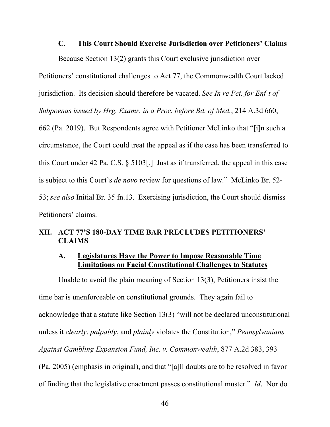#### **C. This Court Should Exercise Jurisdiction over Petitioners' Claims**

Because Section 13(2) grants this Court exclusive jurisdiction over

jurisdiction. Its decision should therefore be vacated. *See In re Pet. for Enf't of* 

Petitioners' constitutional challenges to Act 77, the Commonwealth Court lacked

*Subpoenas issued by Hrg. Examr. in a Proc. before Bd. of Med.*, 214 A.3d 660,

<span id="page-54-1"></span>662 (Pa. 2019). But Respondents agree with Petitioner McLinko that "[i]n such a circumstance, the Court could treat the appeal as if the case has been transferred to this Court under 42 Pa. C.S. § 5103[.] Just as if transferred, the appeal in this case is subject to this Court's *de novo* review for questions of law." McLinko Br. 52- 53; *see also* Initial Br. 35 fn.13. Exercising jurisdiction, the Court should dismiss Petitioners' claims.

# **XII. ACT 77'S 180-DAY TIME BAR PRECLUDES PETITIONERS' CLAIMS**

# <span id="page-54-0"></span>**A. Legislatures Have the Power to Impose Reasonable Time Limitations on Facial Constitutional Challenges to Statutes**

Unable to avoid the plain meaning of Section 13(3), Petitioners insist the time bar is unenforceable on constitutional grounds. They again fail to acknowledge that a statute like Section 13(3) "will not be declared unconstitutional unless it *clearly*, *palpably*, and *plainly* violates the Constitution," *Pennsylvanians Against Gambling Expansion Fund, Inc. v. Commonwealth*, 877 A.2d 383, 393 (Pa. 2005) (emphasis in original), and that "[a]ll doubts are to be resolved in favor of finding that the legislative enactment passes constitutional muster." *Id*. Nor do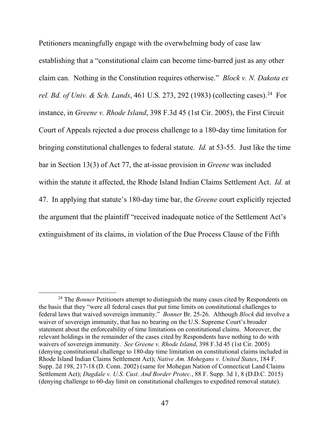<span id="page-55-0"></span>Petitioners meaningfully engage with the overwhelming body of case law establishing that a "constitutional claim can become time-barred just as any other claim can. Nothing in the Constitution requires otherwise." *Block v. N. Dakota ex rel. Bd. of Univ. & Sch. Lands*, 461 U.S. 273, 292 (1983) (collecting cases).<sup>[24](#page-55-4)</sup> For instance, in *Greene v. Rhode Island*, 398 F.3d 45 (1st Cir. 2005), the First Circuit Court of Appeals rejected a due process challenge to a 180-day time limitation for bringing constitutional challenges to federal statute. *Id.* at 53-55. Just like the time bar in Section 13(3) of Act 77, the at-issue provision in *Greene* was included within the statute it affected, the Rhode Island Indian Claims Settlement Act. *Id.* at 47. In applying that statute's 180-day time bar, the *Greene* court explicitly rejected the argument that the plaintiff "received inadequate notice of the Settlement Act's extinguishment of its claims, in violation of the Due Process Clause of the Fifth

<span id="page-55-4"></span><span id="page-55-3"></span><span id="page-55-2"></span><span id="page-55-1"></span><sup>&</sup>lt;sup>24</sup> The *Bonner* Petitioners attempt to distinguish the many cases cited by Respondents on the basis that they "were all federal cases that put time limits on constitutional challenges to federal laws that waived sovereign immunity." *Bonner* Br. 25-26. Although *Block* did involve a waiver of sovereign immunity, that has no bearing on the U.S. Supreme Court's broader statement about the enforceability of time limitations on constitutional claims. Moreover, the relevant holdings in the remainder of the cases cited by Respondents have nothing to do with waivers of sovereign immunity. *See Greene v. Rhode Island*, 398 F.3d 45 (1st Cir. 2005) (denying constitutional challenge to 180-day time limitation on constitutional claims included in Rhode Island Indian Claims Settlement Act); *Native Am. Mohegans v. United States*, 184 F. Supp. 2d 198, 217-18 (D. Conn. 2002) (same for Mohegan Nation of Connecticut Land Claims Settlement Act); *Dugdale v. U.S. Cust. And Border Protec.*, 88 F. Supp. 3d 1, 8 (D.D.C. 2015) (denying challenge to 60-day limit on constitutional challenges to expedited removal statute).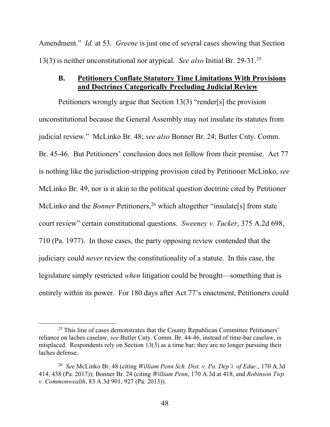Amendment." *Id.* at 53. *Greene* is just one of several cases showing that Section 13(3) is neither unconstitutional nor atypical. *See also* Initial Br. 29-31.[25](#page-56-4)

#### <span id="page-56-0"></span>**B. Petitioners Conflate Statutory Time Limitations With Provisions and Doctrines Categorically Precluding Judicial Review**

Petitioners wrongly argue that Section 13(3) "render[s] the provision unconstitutional because the General Assembly may not insulate its statutes from judicial review." McLinko Br. 48; *see also* Bonner Br. 24; Butler Cnty. Comm. Br. 45-46. But Petitioners' conclusion does not follow from their premise. Act 77 is nothing like the jurisdiction-stripping provision cited by Petitioner McLinko, *see*  McLinko Br. 49, nor is it akin to the political question doctrine cited by Petitioner McLinko and the *Bonner* Petitioners,<sup>[26](#page-56-5)</sup> which altogether "insulate[s] from state court review" certain constitutional questions. *Sweeney v. Tucker*, 375 A.2d 698, 710 (Pa. 1977). In those cases, the party opposing review contended that the judiciary could *never* review the constitutionality of a statute. In this case, the legislature simply restricted *when* litigation could be brought—something that is entirely within its power. For 180 days after Act 77's enactment, Petitioners could

<span id="page-56-4"></span><span id="page-56-2"></span> $25$  This line of cases demonstrates that the County Republican Committee Petitioners' reliance on laches caselaw, *see* Butler Cnty. Comm. Br. 44-46, instead of time-bar caselaw, is misplaced. Respondents rely on Section 13(3) as a time bar; they are no longer pursuing their laches defense.

<span id="page-56-5"></span><span id="page-56-3"></span><span id="page-56-1"></span><sup>26</sup> *See* McLinko Br. 48 (citing *William Penn Sch. Dist. v. Pa. Dep't. of Educ.*, 170 A.3d 414, 438 (Pa. 2017)); Bonner Br. 24 (citing *William Penn*, 170 A.3d at 418, and *Robinson Twp. v. Commonwealth*, 83 A.3d 901, 927 (Pa. 2013)).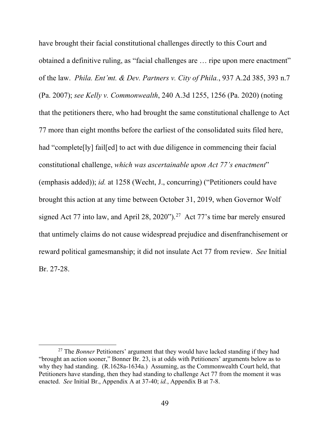<span id="page-57-1"></span><span id="page-57-0"></span>have brought their facial constitutional challenges directly to this Court and obtained a definitive ruling, as "facial challenges are … ripe upon mere enactment" of the law. *Phila. Ent'mt. & Dev. Partners v. City of Phila.*, 937 A.2d 385, 393 n.7 (Pa. 2007); *see Kelly v. Commonwealth*, 240 A.3d 1255, 1256 (Pa. 2020) (noting that the petitioners there, who had brought the same constitutional challenge to Act 77 more than eight months before the earliest of the consolidated suits filed here, had "complete[ly] fail[ed] to act with due diligence in commencing their facial constitutional challenge, *which was ascertainable upon Act 77's enactment*" (emphasis added)); *id.* at 1258 (Wecht, J., concurring) ("Petitioners could have brought this action at any time between October 31, 2019, when Governor Wolf signed Act 77 into law, and April 28, 2020").<sup>[27](#page-57-2)</sup> Act 77's time bar merely ensured that untimely claims do not cause widespread prejudice and disenfranchisement or reward political gamesmanship; it did not insulate Act 77 from review. *See* Initial Br. 27-28.

<span id="page-57-2"></span><sup>&</sup>lt;sup>27</sup> The *Bonner* Petitioners' argument that they would have lacked standing if they had "brought an action sooner," Bonner Br. 23, is at odds with Petitioners' arguments below as to why they had standing. (R.1628a-1634a.) Assuming, as the Commonwealth Court held, that Petitioners have standing, then they had standing to challenge Act 77 from the moment it was enacted. *See* Initial Br., Appendix A at 37-40; *id.*, Appendix B at 7-8.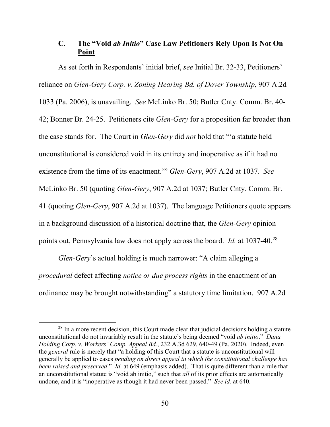# **C. The "Void** *ab Initio***" Case Law Petitioners Rely Upon Is Not On Point**

<span id="page-58-1"></span>As set forth in Respondents' initial brief, *see* Initial Br. 32-33, Petitioners' reliance on *Glen-Gery Corp. v. Zoning Hearing Bd. of Dover Township*, 907 A.2d 1033 (Pa. 2006), is unavailing. *See* McLinko Br. 50; Butler Cnty. Comm. Br. 40- 42; Bonner Br. 24-25. Petitioners cite *Glen-Gery* for a proposition far broader than the case stands for. The Court in *Glen-Gery* did *not* hold that "'a statute held unconstitutional is considered void in its entirety and inoperative as if it had no existence from the time of its enactment.'" *Glen-Gery*, 907 A.2d at 1037. *See*  McLinko Br. 50 (quoting *Glen-Gery*, 907 A.2d at 1037; Butler Cnty. Comm. Br. 41 (quoting *Glen-Gery*, 907 A.2d at 1037). The language Petitioners quote appears in a background discussion of a historical doctrine that, the *Glen-Gery* opinion points out, Pennsylvania law does not apply across the board. *Id.* at 1037-40.[28](#page-58-2)

*Glen-Gery*'s actual holding is much narrower: "A claim alleging a *procedural* defect affecting *notice or due process rights* in the enactment of an ordinance may be brought notwithstanding" a statutory time limitation. 907 A.2d

<span id="page-58-2"></span><span id="page-58-0"></span> $28$  In a more recent decision, this Court made clear that judicial decisions holding a statute unconstitutional do not invariably result in the statute's being deemed "void *ab initio*." *Dana Holding Corp. v. Workers' Comp. Appeal Bd.*, 232 A.3d 629, 640-49 (Pa. 2020). Indeed, even the *general* rule is merely that "a holding of this Court that a statute is unconstitutional will generally be applied to cases *pending on direct appeal in which the constitutional challenge has been raised and preserved*." *Id.* at 649 (emphasis added). That is quite different than a rule that an unconstitutional statute is "void ab initio," such that *all* of its prior effects are automatically undone, and it is "inoperative as though it had never been passed." *See id.* at 640.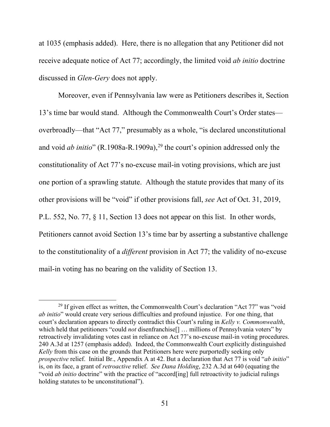at 1035 (emphasis added). Here, there is no allegation that any Petitioner did not receive adequate notice of Act 77; accordingly, the limited void *ab initio* doctrine discussed in *Glen-Gery* does not apply.

<span id="page-59-1"></span>Moreover, even if Pennsylvania law were as Petitioners describes it, Section 13's time bar would stand. Although the Commonwealth Court's Order states overbroadly—that "Act 77," presumably as a whole, "is declared unconstitutional and void *ab initio*" (R.1908a-R.1909a),<sup>[29](#page-59-3)</sup> the court's opinion addressed only the constitutionality of Act 77's no-excuse mail-in voting provisions, which are just one portion of a sprawling statute. Although the statute provides that many of its other provisions will be "void" if other provisions fall, *see* Act of Oct. 31, 2019, P.L. 552, No. 77, § 11, Section 13 does not appear on this list. In other words, Petitioners cannot avoid Section 13's time bar by asserting a substantive challenge to the constitutionality of a *different* provision in Act 77; the validity of no-excuse mail-in voting has no bearing on the validity of Section 13.

<span id="page-59-3"></span><span id="page-59-2"></span><span id="page-59-0"></span><sup>&</sup>lt;sup>29</sup> If given effect as written, the Commonwealth Court's declaration "Act  $77$ " was "void *ab initio*" would create very serious difficulties and profound injustice. For one thing, that court's declaration appears to directly contradict this Court's ruling in *Kelly v. Commonwealth*, which held that petitioners "could *not* disenfranchise<sup>[]</sup> ... millions of Pennsylvania voters" by retroactively invalidating votes cast in reliance on Act 77's no-excuse mail-in voting procedures. 240 A.3d at 1257 (emphasis added). Indeed, the Commonwealth Court explicitly distinguished *Kelly* from this case on the grounds that Petitioners here were purportedly seeking only *prospective* relief. Initial Br., Appendix A at 42. But a declaration that Act 77 is void "*ab initio*" is, on its face, a grant of *retroactive* relief. *See Dana Holding*, 232 A.3d at 640 (equating the "void *ab initio* doctrine" with the practice of "accord[ing] full retroactivity to judicial rulings holding statutes to be unconstitutional").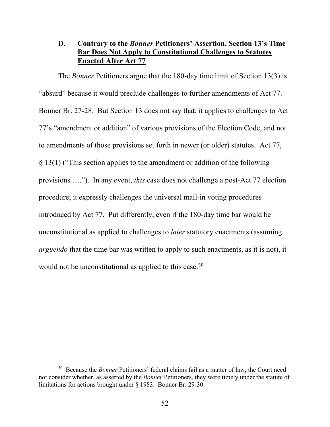# **D. Contrary to the** *Bonner* **Petitioners' Assertion, Section 13's Time Bar Does Not Apply to Constitutional Challenges to Statutes Enacted After Act 77**

The *Bonner* Petitioners argue that the 180-day time limit of Section 13(3) is "absurd" because it would preclude challenges to further amendments of Act 77. Bonner Br. 27-28. But Section 13 does not say that; it applies to challenges to Act 77's "amendment or addition" of various provisions of the Election Code, and not to amendments of those provisions set forth in newer (or older) statutes. Act 77, § 13(1) ("This section applies to the amendment or addition of the following provisions …."). In any event, *this* case does not challenge a post-Act 77 election procedure; it expressly challenges the universal mail-in voting procedures introduced by Act 77. Put differently, even if the 180-day time bar would be unconstitutional as applied to challenges to *later* statutory enactments (assuming *arguendo* that the time bar was written to apply to such enactments, as it is not), it would not be unconstitutional as applied to this case.<sup>[30](#page-60-1)</sup>

<span id="page-60-1"></span><span id="page-60-0"></span> <sup>30</sup> Because the *Bonner* Petitioners' federal claims fail as a matter of law, the Court need not consider whether, as asserted by the *Bonner* Petitioners, they were timely under the statute of limitations for actions brought under § 1983. Bonner Br. 29-30.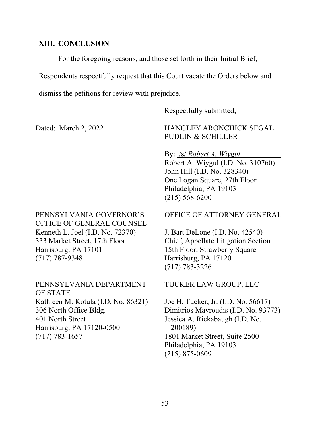#### **XIII. CONCLUSION**

For the foregoing reasons, and those set forth in their Initial Brief,

Respondents respectfully request that this Court vacate the Orders below and

dismiss the petitions for review with prejudice.

Respectfully submitted,

Dated: March 2, 2022

HANGLEY ARONCHICK SEGAL PUDLIN & SCHILLER

By: /s/ *Robert A. Wiygul* Robert A. Wiygul (I.D. No. 310760) John Hill (I.D. No. 328340) One Logan Square, 27th Floor Philadelphia, PA 19103 (215) 568-6200

PENNSYLVANIA GOVERNOR'S OFFICE OF GENERAL COUNSEL Kenneth L. Joel (I.D. No. 72370) 333 Market Street, 17th Floor Harrisburg, PA 17101 (717) 787-9348

PENNSYLVANIA DEPARTMENT OF STATE Kathleen M. Kotula (I.D. No. 86321) 306 North Office Bldg. 401 North Street Harrisburg, PA 17120-0500 (717) 783-1657

#### OFFICE OF ATTORNEY GENERAL

J. Bart DeLone (I.D. No. 42540) Chief, Appellate Litigation Section 15th Floor, Strawberry Square Harrisburg, PA 17120 (717) 783-3226

TUCKER LAW GROUP, LLC

Joe H. Tucker, Jr. (I.D. No. 56617) Dimitrios Mavroudis (I.D. No. 93773) Jessica A. Rickabaugh (I.D. No. 200189) 1801 Market Street, Suite 2500 Philadelphia, PA 19103 (215) 875-0609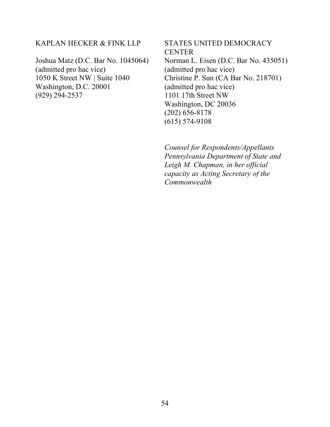#### KAPLAN HECKER & FINK LLP

Joshua Matz (D.C. Bar No. 1045064) (admitted pro hac vice) 1050 K Street NW | Suite 1040 Washington, D.C. 20001 (929) 294-2537

STATES UNITED DEMOCRACY **CENTER** Norman L. Eisen (D.C. Bar No. 435051) (admitted pro hac vice) Christine P. Sun (CA Bar No. 218701) (admitted pro hac vice) 1101 17th Street NW Washington, DC 20036 (202) 656-8178 (615) 574-9108

*Counsel for Respondents/Appellants Pennsylvania Department of State and Leigh M. Chapman, in her official capacity as Acting Secretary of the Commonwealth*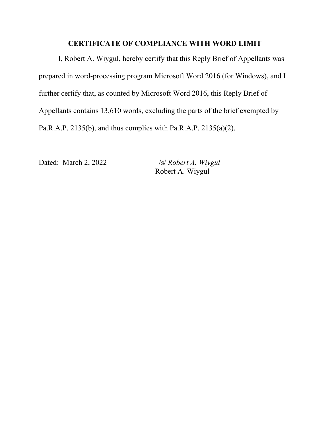## **CERTIFICATE OF COMPLIANCE WITH WORD LIMIT**

I, Robert A. Wiygul, hereby certify that this Reply Brief of Appellants was prepared in word-processing program Microsoft Word 2016 (for Windows), and I further certify that, as counted by Microsoft Word 2016, this Reply Brief of Appellants contains 13,610 words, excluding the parts of the brief exempted by Pa.R.A.P. 2135(b), and thus complies with Pa.R.A.P. 2135(a)(2).

Dated: March 2, 2022 /s/ *Robert A. Wiygul* Robert A. Wiygul